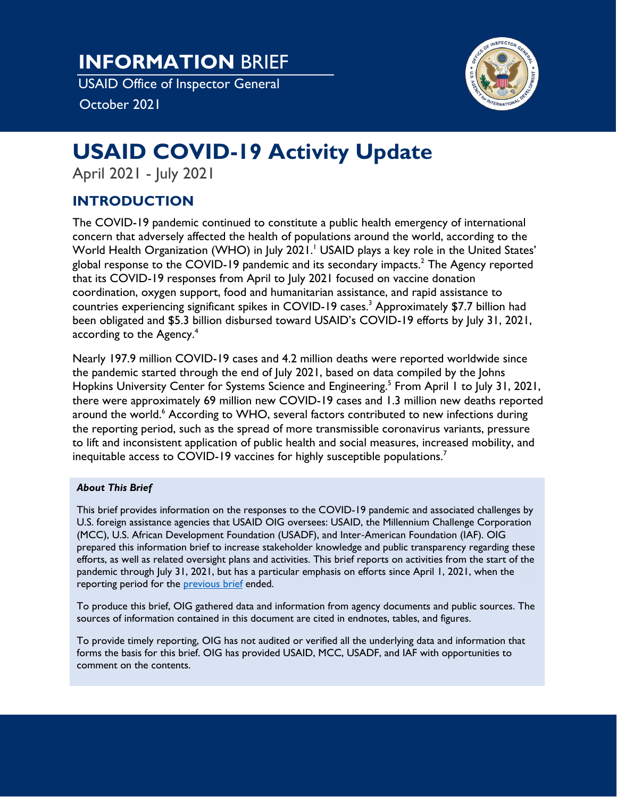**INFORMATION** BRIEF

USAID Office of Inspector General

October 2021



# **USAID COVID-19 Activity Update**

April 2021 - July 2021

# **INTRODUCTION**

The COVID-19 pandemic continued to constitute a public health emergency of international concern that adversely affected the health of populations around the world, according to the World Health Organization (WHO) in July 2021. [1](#page-25-0) USAID plays a key role in the United States' global response to the COVID-19 pandemic and its secondary impacts.<sup>[2](#page-25-0)</sup> The Agency reported that its COVID-19 responses from April to July 2021 focused on vaccine donation coordination, oxygen support, food and humanitarian assistance, and rapid assistance to countries experiencing significant spikes in COVID-19 cases. [3](#page-25-0) Approximately \$7.7 billion had been obligated and \$5.3 billion disbursed toward USAID's COVID-19 efforts by July 31, 2021, according to the Agency. $^{\rm 4}$  $^{\rm 4}$  $^{\rm 4}$ 

Nearly 197.9 million COVID-19 cases and 4.2 million deaths were reported worldwide since the pandemic started through the end of July 2021, based on data compiled by the Johns Hopkins University Center for Systems Science and Engineering.<sup>[5](#page-25-0)</sup> From April 1 to July 31, 2021, there were approximately 69 million new COVID-19 cases and 1.3 million new deaths reported around the world. [6](#page-25-0) According to WHO, several factors contributed to new infections during the reporting period, such as the spread of more transmissible coronavirus variants, pressure to lift and inconsistent application of public health and social measures, increased mobility, and inequitable access to COVID-19 vaccines for highly susceptible populations.<sup>[7](#page-25-0)</sup>

#### *About This Brief*

This brief provides information on the responses to the COVID-19 pandemic and associated challenges by U.S. foreign assistance agencies that USAID OIG oversees: USAID, the Millennium Challenge Corporation (MCC), U.S. African Development Foundation (USADF), and Inter‐American Foundation (IAF). OIG prepared this information brief to increase stakeholder knowledge and public transparency regarding these efforts, as well as related oversight plans and activities. This brief reports on activities from the start of the pandemic through July 31, 2021, but has a particular emphasis on efforts since April 1, 2021, when the reporting period for the [previous brief](https://oig.usaid.gov/node/4790) ended.

To produce this brief, OIG gathered data and information from agency documents and public sources. The sources of information contained in this document are cited in endnotes, tables, and figures.

To provide timely reporting, OIG has not audited or verified all the underlying data and information that forms the basis for this brief. OIG has provided USAID, MCC, USADF, and IAF with opportunities to comment on the contents.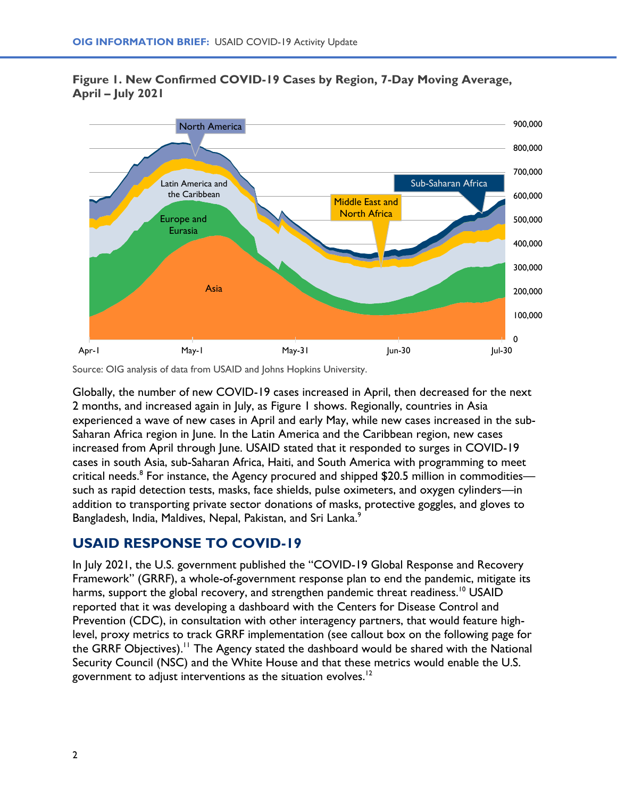### **Figure 1. New Confirmed COVID-19 Cases by Region, 7-Day Moving Average, April – July 2021**



Source: OIG analysis of data from USAID and Johns Hopkins University.

Globally, the number of new COVID-19 cases increased in April, then decreased for the next 2 months, and increased again in July, as Figure 1 shows. Regionally, countries in Asia experienced a wave of new cases in April and early May, while new cases increased in the sub-Saharan Africa region in June. In the Latin America and the Caribbean region, new cases increased from April through June. USAID stated that it responded to surges in COVID-19 cases in south Asia, sub-Saharan Africa, Haiti, and South America with programming to meet critical needs. $^8$  $^8$  For instance, the Agency procured and shipped \$20.5 million in commodities such as rapid detection tests, masks, face shields, pulse oximeters, and oxygen cylinders—in addition to transporting private sector donations of masks, protective goggles, and gloves to Bangladesh, India, Maldives, Nepal, Pakistan, and Sri Lanka.<sup>[9](#page-25-0)</sup>

# **USAID RESPONSE TO COVID-19**

In July 2021, the U.S. government published the "COVID-19 Global Response and Recovery Framework" (GRRF), a whole-of-government response plan to end the pandemic, mitigate its harms, support the global recovery, and strengthen pandemic threat readiness.<sup>[10](#page-25-0)</sup> USAID reported that it was developing a dashboard with the Centers for Disease Control and Prevention (CDC), in consultation with other interagency partners, that would feature highlevel, proxy metrics to track GRRF implementation (see callout box on the following page for the GRRF Objectives).<sup>[11](#page-25-0)</sup> The Agency stated the dashboard would be shared with the National Security Council (NSC) and the White House and that these metrics would enable the U.S. government to adjust interventions as the situation evolves. $12$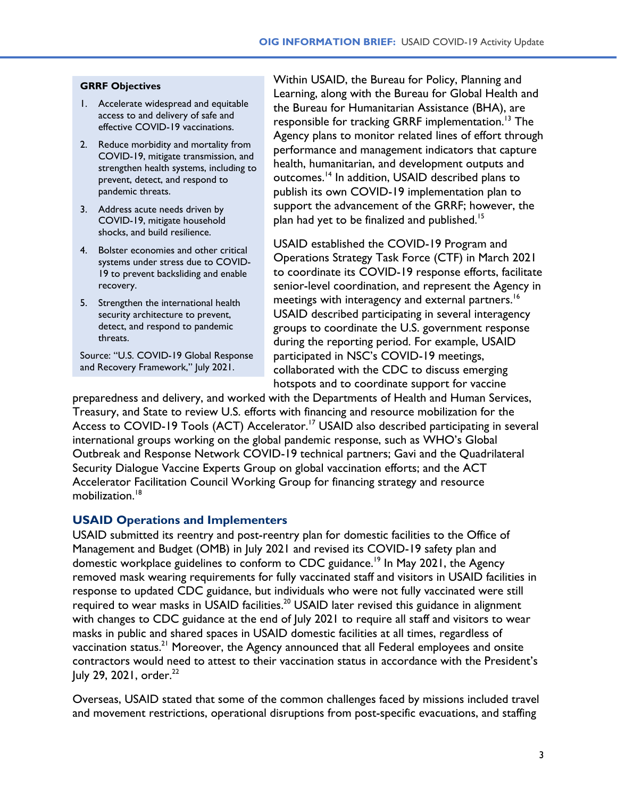#### **GRRF Objectives**

- 1. Accelerate widespread and equitable access to and delivery of safe and effective COVID-19 vaccinations.
- 2. Reduce morbidity and mortality from COVID-19, mitigate transmission, and strengthen health systems, including to prevent, detect, and respond to pandemic threats.
- 3. Address acute needs driven by COVID-19, mitigate household shocks, and build resilience.
- 4. Bolster economies and other critical systems under stress due to COVID-19 to prevent backsliding and enable recovery.
- 5. Strengthen the international health security architecture to prevent, detect, and respond to pandemic threats.

Source: "U.S. COVID-19 Global Response and Recovery Framework," July 2021.

Within USAID, the Bureau for Policy, Planning and Learning, along with the Bureau for Global Health and the Bureau for Humanitarian Assistance (BHA), are responsible for tracking GRRF implementation. [13](#page-25-0) The Agency plans to monitor related lines of effort through performance and management indicators that capture health, humanitarian, and development outputs and outcomes.[14](#page-25-0) In addition, USAID described plans to publish its own COVID-19 implementation plan to support the advancement of the GRRF; however, the plan had yet to be finalized and published.<sup>[15](#page-25-0)</sup>

USAID established the COVID-19 Program and Operations Strategy Task Force (CTF) in March 2021 to coordinate its COVID-19 response efforts, facilitate senior-level coordination, and represent the Agency in meetings with interagency and external partners. [16](#page-25-0) USAID described participating in several interagency groups to coordinate the U.S. government response during the reporting period. For example, USAID participated in NSC's COVID-19 meetings, collaborated with the CDC to discuss emerging hotspots and to coordinate support for vaccine

preparedness and delivery, and worked with the Departments of Health and Human Services, Treasury, and State to review U.S. efforts with financing and resource mobilization for the Access to COVID-19 Tools (ACT) Accelerator.<sup>[17](#page-25-0)</sup> USAID also described participating in several international groups working on the global pandemic response, such as WHO's Global Outbreak and Response Network COVID-19 technical partners; Gavi and the Quadrilateral Security Dialogue Vaccine Experts Group on global vaccination efforts; and the ACT Accelerator Facilitation Council Working Group for financing strategy and resource mobilization. [18](#page-25-0)

#### **USAID Operations and Implementers**

USAID submitted its reentry and post-reentry plan for domestic facilities to the Office of Management and Budget (OMB) in July 2021 and revised its COVID-19 safety plan and domestic workplace guidelines to conform to CDC guidance.<sup>[19](#page-25-0)</sup> In May 2021, the Agency removed mask wearing requirements for fully vaccinated staff and visitors in USAID facilities in response to updated CDC guidance, but individuals who were not fully vaccinated were still required to wear masks in USAID facilities.<sup>[20](#page-25-0)</sup> USAID later revised this guidance in alignment with changes to CDC guidance at the end of July 2021 to require all staff and visitors to wear masks in public and shared spaces in USAID domestic facilities at all times, regardless of vaccination status. $^{21}$  $^{21}$  $^{21}$  Moreover, the Agency announced that all Federal employees and onsite contractors would need to attest to their vaccination status in accordance with the President's July 29, 2021, order. $^{22}$  $^{22}$  $^{22}$ 

Overseas, USAID stated that some of the common challenges faced by missions included travel and movement restrictions, operational disruptions from post-specific evacuations, and staffing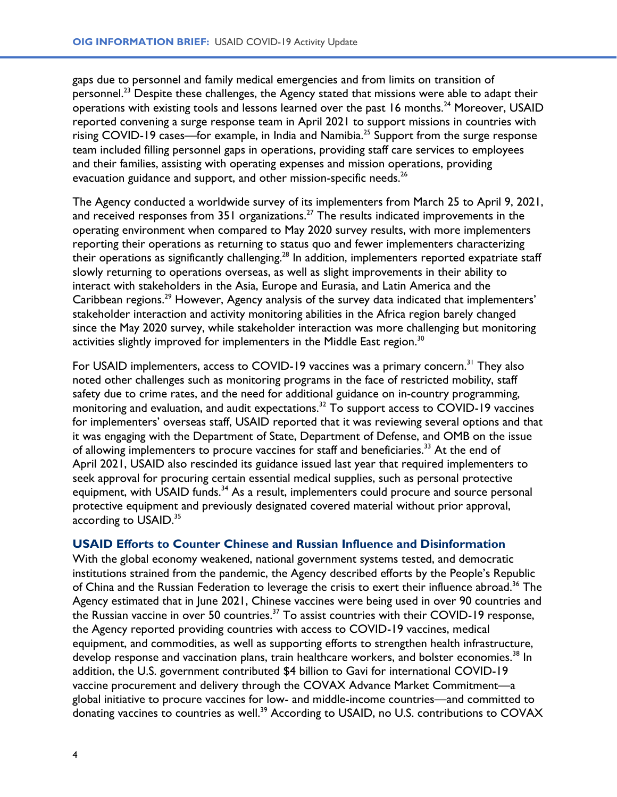gaps due to personnel and family medical emergencies and from limits on transition of personnel.<sup>[23](#page-25-0)</sup> Despite these challenges, the Agency stated that missions were able to adapt their operations with existing tools and lessons learned over the past 16 months.<sup>[24](#page-25-0)</sup> Moreover, USAID reported convening a surge response team in April 2021 to support missions in countries with rising COVID-19 cases—for example, in India and Namibia.<sup>[25](#page-25-0)</sup> Support from the surge response team included filling personnel gaps in operations, providing staff care services to employees and their families, assisting with operating expenses and mission operations, providing evacuation guidance and support, and other mission-specific needs.<sup>[26](#page-25-0)</sup>

The Agency conducted a worldwide survey of its implementers from March 25 to April 9, 2021, and received responses from 351 organizations.<sup>[27](#page-25-0)</sup> The results indicated improvements in the operating environment when compared to May 2020 survey results, with more implementers reporting their operations as returning to status quo and fewer implementers characterizing their operations as significantly challenging.[28](#page-25-0) In addition, implementers reported expatriate staff slowly returning to operations overseas, as well as slight improvements in their ability to interact with stakeholders in the Asia, Europe and Eurasia, and Latin America and the Caribbean regions.<sup>[29](#page-25-0)</sup> However, Agency analysis of the survey data indicated that implementers' stakeholder interaction and activity monitoring abilities in the Africa region barely changed since the May 2020 survey, while stakeholder interaction was more challenging but monitoring activities slightly improved for implementers in the Middle East region.<sup>[30](#page-25-0)</sup>

For USAID implementers, access to COVID-19 vaccines was a primary concern.<sup>[31](#page-25-0)</sup> They also noted other challenges such as monitoring programs in the face of restricted mobility, staff safety due to crime rates, and the need for additional guidance on in-country programming, monitoring and evaluation, and audit expectations.<sup>[32](#page-25-0)</sup> To support access to COVID-19 vaccines for implementers' overseas staff, USAID reported that it was reviewing several options and that it was engaging with the Department of State, Department of Defense, and OMB on the issue of allowing implementers to procure vaccines for staff and beneficiaries.<sup>[33](#page-25-0)</sup> At the end of April 2021, USAID also rescinded its guidance issued last year that required implementers to seek approval for procuring certain essential medical supplies, such as personal protective equipment, with USAID funds.<sup>[34](#page-25-0)</sup> As a result, implementers could procure and source personal protective equipment and previously designated covered material without prior approval, according to USAID.<sup>[35](#page-25-0)</sup>

#### **USAID Efforts to Counter Chinese and Russian Influence and Disinformation**

With the global economy weakened, national government systems tested, and democratic institutions strained from the pandemic, the Agency described efforts by the People's Republic of China and the Russian Federation to leverage the crisis to exert their influence abroad.<sup>[36](#page-25-0)</sup> The Agency estimated that in June 2021, Chinese vaccines were being used in over 90 countries and the Russian vaccine in over 50 countries.<sup>[37](#page-26-0)</sup> To assist countries with their COVID-19 response, the Agency reported providing countries with access to COVID-19 vaccines, medical equipment, and commodities, as well as supporting efforts to strengthen health infrastructure, develop response and vaccination plans, train healthcare workers, and bolster economies.<sup>[38](#page-26-0)</sup> In addition, the U.S. government contributed \$4 billion to Gavi for international COVID-19 vaccine procurement and delivery through the COVAX Advance Market Commitment—a global initiative to procure vaccines for low- and middle-income countries—and committed to donating vaccines to countries as well.<sup>[39](#page-26-0)</sup> According to USAID, no U.S. contributions to COVAX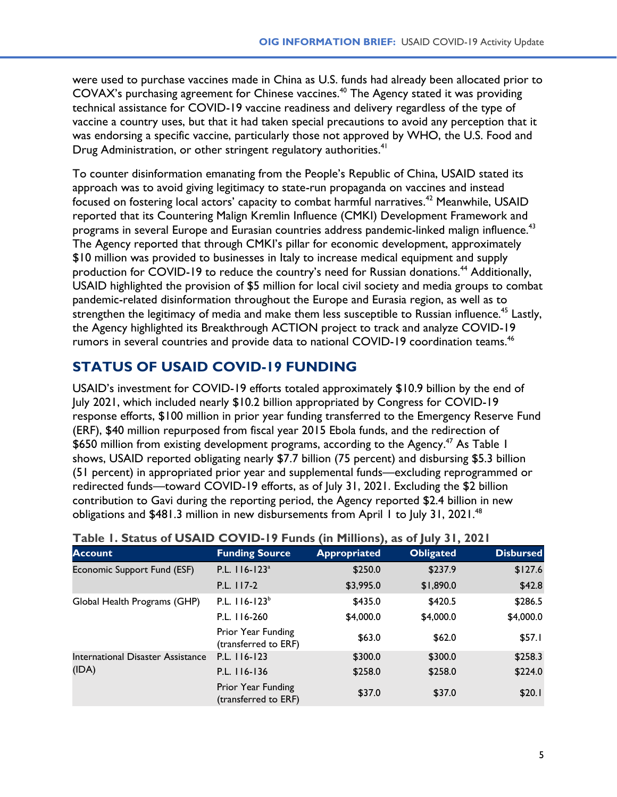were used to purchase vaccines made in China as U.S. funds had already been allocated prior to COVAX's purchasing agreement for Chinese vaccines. [40](#page-26-0) The Agency stated it was providing technical assistance for COVID-19 vaccine readiness and delivery regardless of the type of vaccine a country uses, but that it had taken special precautions to avoid any perception that it was endorsing a specific vaccine, particularly those not approved by WHO, the U.S. Food and Drug Administration, or other stringent regulatory authorities.<sup>[41](#page-26-0)</sup>

To counter disinformation emanating from the People's Republic of China, USAID stated its approach was to avoid giving legitimacy to state-run propaganda on vaccines and instead focused on fostering local actors' capacity to combat harmful narratives. [42](#page-26-0) Meanwhile, USAID reported that its Countering Malign Kremlin Influence (CMKI) Development Framework and programs in several Europe and Eurasian countries address pandemic-linked malign influence.<sup>[43](#page-26-0)</sup> The Agency reported that through CMKI's pillar for economic development, approximately \$10 million was provided to businesses in Italy to increase medical equipment and supply production for COVID-19 to reduce the country's need for Russian donations.<sup>[44](#page-26-0)</sup> Additionally, USAID highlighted the provision of \$5 million for local civil society and media groups to combat pandemic-related disinformation throughout the Europe and Eurasia region, as well as to strengthen the legitimacy of media and make them less susceptible to Russian influence.<sup>[45](#page-26-0)</sup> Lastly, the Agency highlighted its Breakthrough ACTION project to track and analyze COVID-19 rumors in several countries and provide data to national COVID-19 coordination teams. [46](#page-26-0)

# **STATUS OF USAID COVID-19 FUNDING**

USAID's investment for COVID-19 efforts totaled approximately \$10.9 billion by the end of July 2021, which included nearly \$10.2 billion appropriated by Congress for COVID-19 response efforts, \$100 million in prior year funding transferred to the Emergency Reserve Fund (ERF), \$40 million repurposed from fiscal year 2015 Ebola funds, and the redirection of \$650 million from existing development programs, according to the Agency.<sup>[47](#page-26-0)</sup> As Table I shows, USAID reported obligating nearly \$7.7 billion (75 percent) and disbursing \$5.3 billion (51 percent) in appropriated prior year and supplemental funds—excluding reprogrammed or redirected funds—toward COVID-19 efforts, as of July 31, 2021. Excluding the \$2 billion contribution to Gavi during the reporting period, the Agency reported \$2.4 billion in new obligations and \$[48](#page-26-0)1.3 million in new disbursements from April 1 to July 31, 2021.<sup>48</sup>

| <b>Table 1. Status of USAID COVID-19 Funds (in Millions), as of July 31, 2021</b> |                                            |                     |                  |                  |  |
|-----------------------------------------------------------------------------------|--------------------------------------------|---------------------|------------------|------------------|--|
| <b>Account</b>                                                                    | <b>Funding Source</b>                      | <b>Appropriated</b> | <b>Obligated</b> | <b>Disbursed</b> |  |
| Economic Support Fund (ESF)                                                       | P.L. 116-123 <sup>a</sup>                  | \$250.0             | \$237.9          | \$127.6          |  |
|                                                                                   | $P.L.$ 117-2                               | \$3,995.0           | \$1,890.0        | \$42.8           |  |
| Global Health Programs (GHP)                                                      | P.L. $116-123b$                            | \$435.0             | \$420.5          | \$286.5          |  |
|                                                                                   | P.L. 116-260                               | \$4,000.0           | \$4,000.0        | \$4,000.0        |  |
|                                                                                   | Prior Year Funding<br>(transferred to ERF) | \$63.0              | \$62.0           | \$57.1           |  |
| International Disaster Assistance                                                 | $P.L.$ $  16 - 123$                        | \$300.0             | \$300.0          | \$258.3          |  |
| (IDA)                                                                             | P.L. 116-136                               | \$258.0             | \$258.0          | \$224.0          |  |
|                                                                                   | Prior Year Funding<br>(transferred to ERF) | \$37.0              | \$37.0           | \$20.1           |  |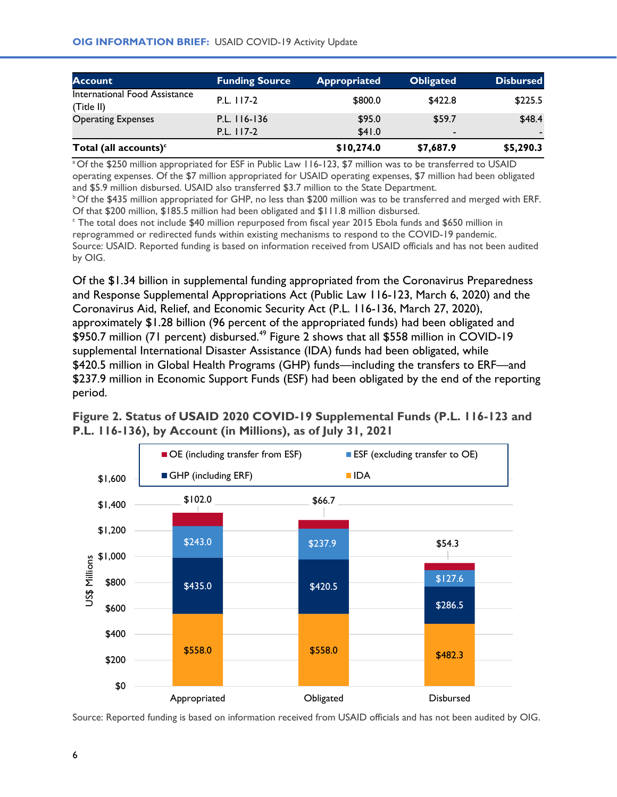<span id="page-5-0"></span>

| <b>Account</b>                              | <b>Funding Source</b> | <b>Appropriated</b> | <b>Obligated</b> | <b>Disbursed</b> |
|---------------------------------------------|-----------------------|---------------------|------------------|------------------|
| International Food Assistance<br>(Title II) | P.L. 117-2            | \$800.0             | \$422.8          | \$225.5          |
| <b>Operating Expenses</b>                   | $P.L.$ $116-136$      | \$95.0              | \$59.7           | \$48.4           |
|                                             | $P.L.$ 117-2          | \$41.0              | $\blacksquare$   |                  |
| Total (all accounts) $c$                    |                       | \$10,274.0          | \$7,687.9        | \$5,290.3        |

<sup>a</sup> Of the \$250 million appropriated for ESF in Public Law 116-123, \$7 million was to be transferred to USAID operating expenses. Of the \$7 million appropriated for USAID operating expenses, \$7 million had been obligated and \$5.9 million disbursed. USAID also transferred \$3.7 million to the State Department.

<sup>b</sup> Of the \$435 million appropriated for GHP, no less than \$200 million was to be transferred and merged with ERF. Of that \$200 million, \$185.5 million had been obligated and \$111.8 million disbursed.

<sup>c</sup> The total does not include \$40 million repurposed from fiscal year 2015 Ebola funds and \$650 million in reprogrammed or redirected funds within existing mechanisms to respond to the COVID-19 pandemic. Source: USAID. Reported funding is based on information received from USAID officials and has not been audited by OIG.

Of the \$1.34 billion in supplemental funding appropriated from the Coronavirus Preparedness and Response Supplemental Appropriations Act (Public Law 116-123, March 6, 2020) and the Coronavirus Aid, Relief, and Economic Security Act (P.L. 116-136, March 27, 2020), approximately \$1.28 billion (96 percent of the appropriated funds) had been obligated and \$950.7 million (71 percent) disbursed.<sup>[49](#page-26-0)</sup> Figure 2 shows that all \$558 million in COVID-19 supplemental International Disaster Assistance (IDA) funds had been obligated, while \$420.5 million in Global Health Programs (GHP) funds—including the transfers to ERF—and \$237.9 million in Economic Support Funds (ESF) had been obligated by the end of the reporting period.

#### **Figure 2. Status of USAID 2020 COVID-19 Supplemental Funds (P.L. 116-123 and P.L. 116-136), by Account (in Millions), as of July 31, 2021**



Source: Reported funding is based on information received from USAID officials and has not been audited by OIG.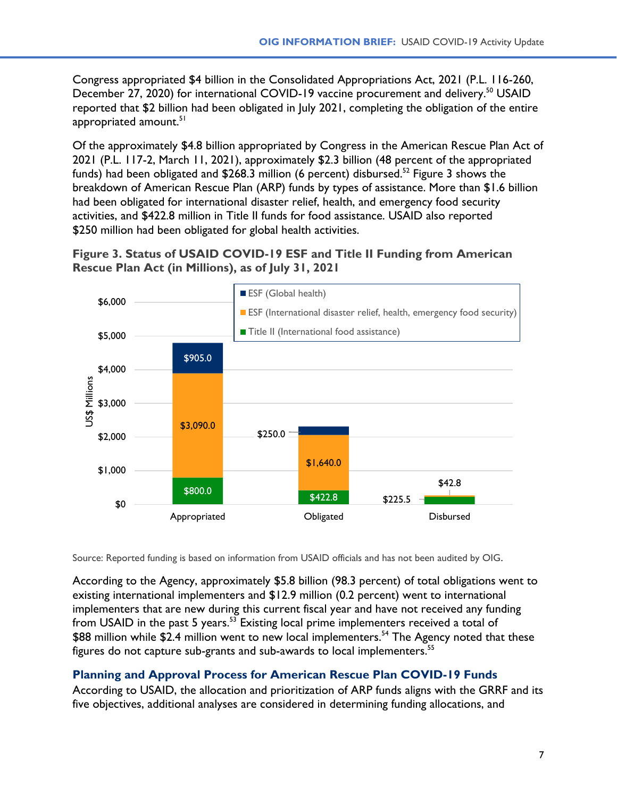Congress appropriated \$4 billion in the Consolidated Appropriations Act, 2021 (P.L. 116-260, December 27, 2020) for international COVID-19 vaccine procurement and delivery.<sup>[50](#page-26-0)</sup> USAID reported that \$2 billion had been obligated in July 2021, completing the obligation of the entire appropriated amount.<sup>[51](#page-26-0)</sup>

Of the approximately \$4.8 billion appropriated by Congress in the American Rescue Plan Act of 2021 (P.L. 117-2, March 11, 2021), approximately \$2.3 billion (48 percent of the appropriated funds) had been obligated and  $$268.3$  million (6 percent) disbursed.<sup>[52](#page-26-0)</sup> Figure 3 shows the breakdown of American Rescue Plan (ARP) funds by types of assistance. More than \$1.6 billion had been obligated for international disaster relief, health, and emergency food security activities, and \$422.8 million in Title II funds for food assistance. USAID also reported \$250 million had been obligated for global health activities.

**Figure 3. Status of USAID COVID-19 ESF and Title II Funding from American Rescue Plan Act (in Millions), as of July 31, 2021**



Source: Reported funding is based on information from USAID officials and has not been audited by OIG.

According to the Agency, approximately \$5.8 billion (98.3 percent) of total obligations went to existing international implementers and \$12.9 million (0.2 percent) went to international implementers that are new during this current fiscal year and have not received any funding from USAID in the past 5 years.<sup>[53](#page-26-0)</sup> Existing local prime implementers received a total of \$88 million while \$2.4 million went to new local implementers.<sup>[54](#page-26-0)</sup> The Agency noted that these figures do not capture sub-grants and sub-awards to local implementers.<sup>[55](#page-26-0)</sup>

### **Planning and Approval Process for American Rescue Plan COVID-19 Funds**

According to USAID, the allocation and prioritization of ARP funds aligns with the GRRF and its five objectives, additional analyses are considered in determining funding allocations, and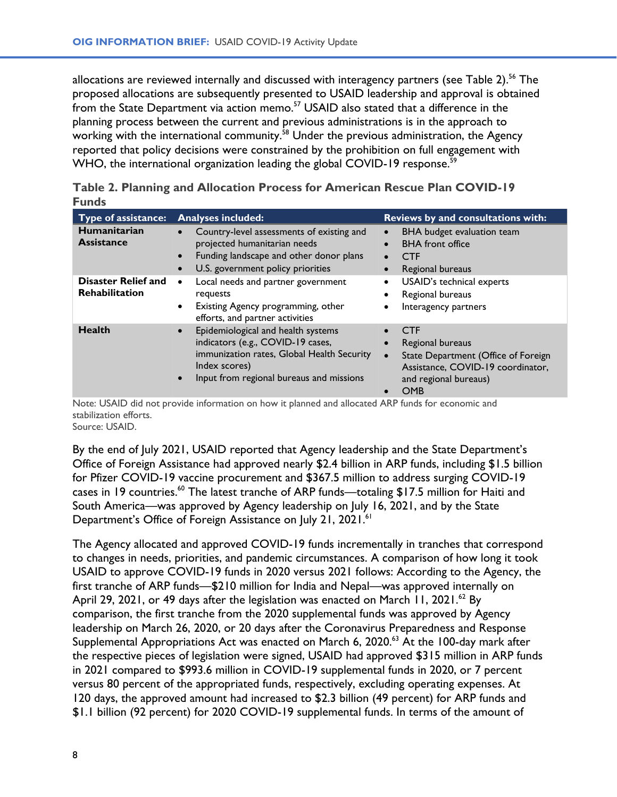allocations are reviewed internally and discussed with interagency partners (see Table 2).<sup>[56](#page-26-0)</sup> The proposed allocations are subsequently presented to USAID leadership and approval is obtained from the State Department via action memo.<sup>[57](#page-26-0)</sup> USAID also stated that a difference in the planning process between the current and previous administrations is in the approach to working with the international community.<sup>[58](#page-26-0)</sup> Under the previous administration, the Agency reported that policy decisions were constrained by the prohibition on full engagement with WHO, the international organization leading the global COVID-19 response.<sup>[59](#page-26-0)</sup>

| ı ullus                                             |                                                                                                                                                                                                              |                                                                                                                                                                             |
|-----------------------------------------------------|--------------------------------------------------------------------------------------------------------------------------------------------------------------------------------------------------------------|-----------------------------------------------------------------------------------------------------------------------------------------------------------------------------|
| Type of assistance:                                 | <b>Analyses included:</b>                                                                                                                                                                                    | Reviews by and consultations with:                                                                                                                                          |
| Humanitarian<br><b>Assistance</b>                   | Country-level assessments of existing and<br>$\bullet$<br>projected humanitarian needs<br>Funding landscape and other donor plans<br>$\bullet$<br>U.S. government policy priorities<br>$\bullet$             | BHA budget evaluation team<br>$\bullet$<br><b>BHA</b> front office<br>$\bullet$<br><b>CTF</b><br>$\bullet$<br>Regional bureaus<br>$\bullet$                                 |
| <b>Disaster Relief and</b><br><b>Rehabilitation</b> | Local needs and partner government<br>$\bullet$<br>requests<br>Existing Agency programming, other<br>٠<br>efforts, and partner activities                                                                    | USAID's technical experts<br>$\bullet$<br>Regional bureaus<br>$\bullet$<br>Interagency partners<br>$\bullet$                                                                |
| <b>Health</b>                                       | Epidemiological and health systems<br>$\bullet$<br>indicators (e.g., COVID-19 cases,<br>immunization rates, Global Health Security<br>Index scores)<br>Input from regional bureaus and missions<br>$\bullet$ | <b>CTF</b><br>Regional bureaus<br>$\bullet$<br>State Department (Office of Foreign<br>$\bullet$<br>Assistance, COVID-19 coordinator,<br>and regional bureaus)<br><b>OMB</b> |

|              | Table 2. Planning and Allocation Process for American Rescue Plan COVID-19 |  |  |  |  |
|--------------|----------------------------------------------------------------------------|--|--|--|--|
| <b>Funds</b> |                                                                            |  |  |  |  |

Note: USAID did not provide information on how it planned and allocated ARP funds for economic and stabilization efforts. Source: USAID.

By the end of July 2021, USAID reported that Agency leadership and the State Department's Office of Foreign Assistance had approved nearly \$2.4 billion in ARP funds, including \$1.5 billion for Pfizer COVID-19 vaccine procurement and \$367.5 million to address surging COVID-19 cases in 19 countries.<sup>[60](#page-26-0)</sup> The latest tranche of ARP funds—totaling \$17.5 million for Haiti and South America—was approved by Agency leadership on July 16, 2021, and by the State Department's Office of Foreign Assistance on July 21, 2021.<sup>[61](#page-26-0)</sup>

The Agency allocated and approved COVID-19 funds incrementally in tranches that correspond to changes in needs, priorities, and pandemic circumstances. A comparison of how long it took USAID to approve COVID-19 funds in 2020 versus 2021 follows: According to the Agency, the first tranche of ARP funds—\$210 million for India and Nepal—was approved internally on April 29, 2021, or 49 days after the legislation was enacted on March 11, 2021.<sup>[62](#page-26-0)</sup> By comparison, the first tranche from the 2020 supplemental funds was approved by Agency leadership on March 26, 2020, or 20 days after the Coronavirus Preparedness and Response Supplemental Appropriations Act was enacted on March 6, 2020.<sup>[63](#page-26-0)</sup> At the 100-day mark after the respective pieces of legislation were signed, USAID had approved \$315 million in ARP funds in 2021 compared to \$993.6 million in COVID-19 supplemental funds in 2020, or 7 percent versus 80 percent of the appropriated funds, respectively, excluding operating expenses. At 120 days, the approved amount had increased to \$2.3 billion (49 percent) for ARP funds and \$1.1 billion (92 percent) for 2020 COVID-19 supplemental funds. In terms of the amount of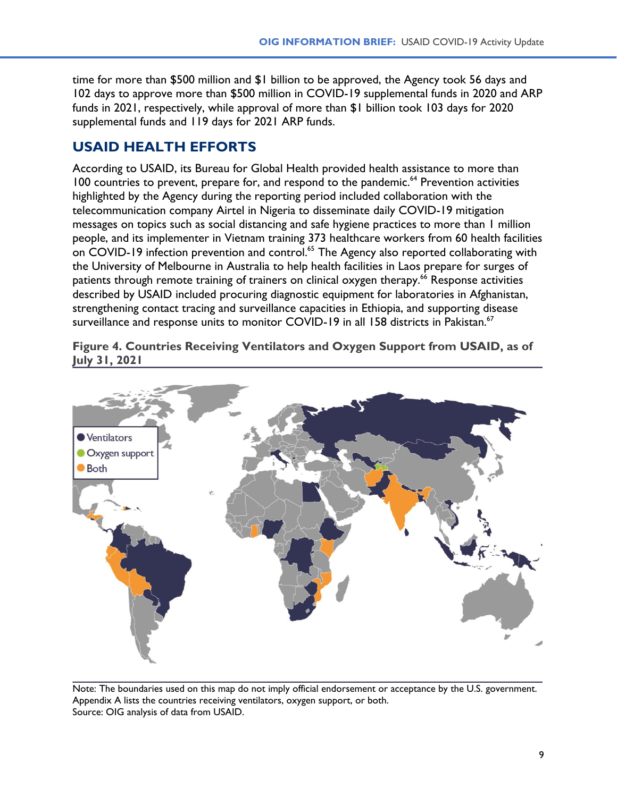time for more than \$500 million and \$1 billion to be approved, the Agency took 56 days and 102 days to approve more than \$500 million in COVID-19 supplemental funds in 2020 and ARP funds in 2021, respectively, while approval of more than \$1 billion took 103 days for 2020 supplemental funds and 119 days for 2021 ARP funds.

# **USAID HEALTH EFFORTS**

According to USAID, its Bureau for Global Health provided health assistance to more than 100 countries to prevent, prepare for, and respond to the pandemic.<sup>[64](#page-26-0)</sup> Prevention activities highlighted by the Agency during the reporting period included collaboration with the telecommunication company Airtel in Nigeria to disseminate daily COVID-19 mitigation messages on topics such as social distancing and safe hygiene practices to more than 1 million people, and its implementer in Vietnam training 373 healthcare workers from 60 health facilities on COVID-19 infection prevention and control.<sup>[65](#page-26-0)</sup> The Agency also reported collaborating with the University of Melbourne in Australia to help health facilities in Laos prepare for surges of patients through remote training of trainers on clinical oxygen therapy.<sup>[66](#page-26-0)</sup> Response activities described by USAID included procuring diagnostic equipment for laboratories in Afghanistan, strengthening contact tracing and surveillance capacities in Ethiopia, and supporting disease surveillance and response units to monitor COVID-19 in all 158 districts in Pakistan.<sup>[67](#page-26-0)</sup>

**Figure 4. Countries Receiving Ventilators and Oxygen Support from USAID, as of July 31, 2021**



Note: The boundaries used on this map do not imply official endorsement or acceptance by the U.S. government. Appendix A lists the countries receiving ventilators, oxygen support, or both. Source: OIG analysis of data from USAID.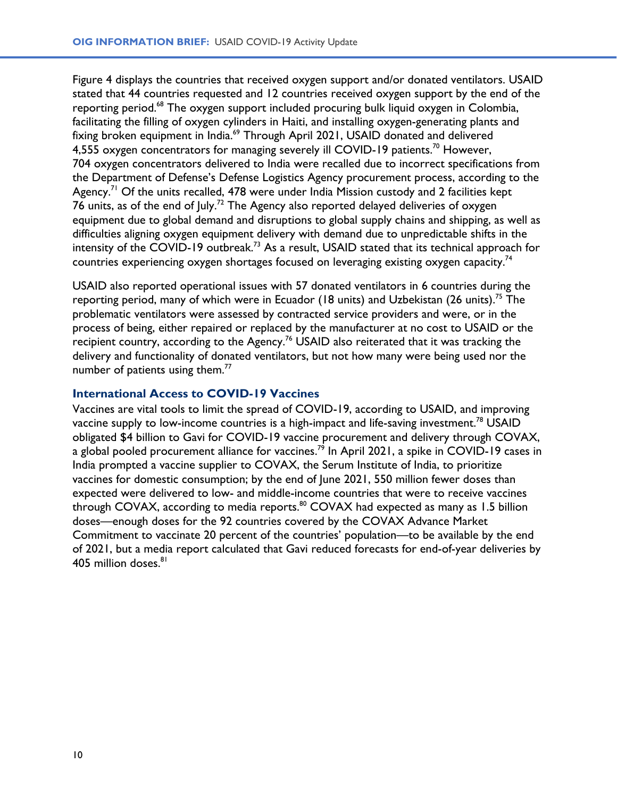Figure 4 displays the countries that received oxygen support and/or donated ventilators. USAID stated that 44 countries requested and 12 countries received oxygen support by the end of the reporting period.<sup>[68](#page-26-0)</sup> The oxygen support included procuring bulk liquid oxygen in Colombia, facilitating the filling of oxygen cylinders in Haiti, and installing oxygen-generating plants and fixing broken equipment in India.<sup>[69](#page-26-0)</sup> Through April 2021, USAID donated and delivered 4,555 oxygen concentrators for managing severely ill COVID-19 patients.<sup>[70](#page-26-0)</sup> However, 704 oxygen concentrators delivered to India were recalled due to incorrect specifications from the Department of Defense's Defense Logistics Agency procurement process, according to the Agency.<sup>[71](#page-26-0)</sup> Of the units recalled, 478 were under India Mission custody and 2 facilities kept 76 units, as of the end of July.<sup>[72](#page-26-0)</sup> The Agency also reported delayed deliveries of oxygen equipment due to global demand and disruptions to global supply chains and shipping, as well as difficulties aligning oxygen equipment delivery with demand due to unpredictable shifts in the intensity of the COVID-19 outbreak.[73](#page-26-0) As a result, USAID stated that its technical approach for countries experiencing oxygen shortages focused on leveraging existing oxygen capacity.<sup>[74](#page-26-0)</sup>

USAID also reported operational issues with 57 donated ventilators in 6 countries during the reporting period, many of which were in Ecuador (18 units) and Uzbekistan (26 units).<sup>[75](#page-26-0)</sup> The problematic ventilators were assessed by contracted service providers and were, or in the process of being, either repaired or replaced by the manufacturer at no cost to USAID or the recipient country, according to the Agency.<sup>[76](#page-26-0)</sup> USAID also reiterated that it was tracking the delivery and functionality of donated ventilators, but not how many were being used nor the number of patients using them.<sup>[77](#page-26-0)</sup>

#### **International Access to COVID-19 Vaccines**

Vaccines are vital tools to limit the spread of COVID-19, according to USAID, and improving vaccine supply to low-income countries is a high-impact and life-saving investment.<sup>[78](#page-26-0)</sup> USAID obligated \$4 billion to Gavi for COVID-19 vaccine procurement and delivery through COVAX, a global pooled procurement alliance for vaccines.<sup>[79](#page-26-0)</sup> In April 2021, a spike in COVID-19 cases in India prompted a vaccine supplier to COVAX, the Serum Institute of India, to prioritize vaccines for domestic consumption; by the end of June 2021, 550 million fewer doses than expected were delivered to low- and middle-income countries that were to receive vaccines through COVAX, according to media reports.<sup>[80](#page-27-0)</sup> COVAX had expected as many as 1.5 billion doses—enough doses for the 92 countries covered by the COVAX Advance Market Commitment to vaccinate 20 percent of the countries' population—to be available by the end of 2021, but a media report calculated that Gavi reduced forecasts for end-of-year deliveries by 405 million doses.<sup>[81](#page-27-0)</sup>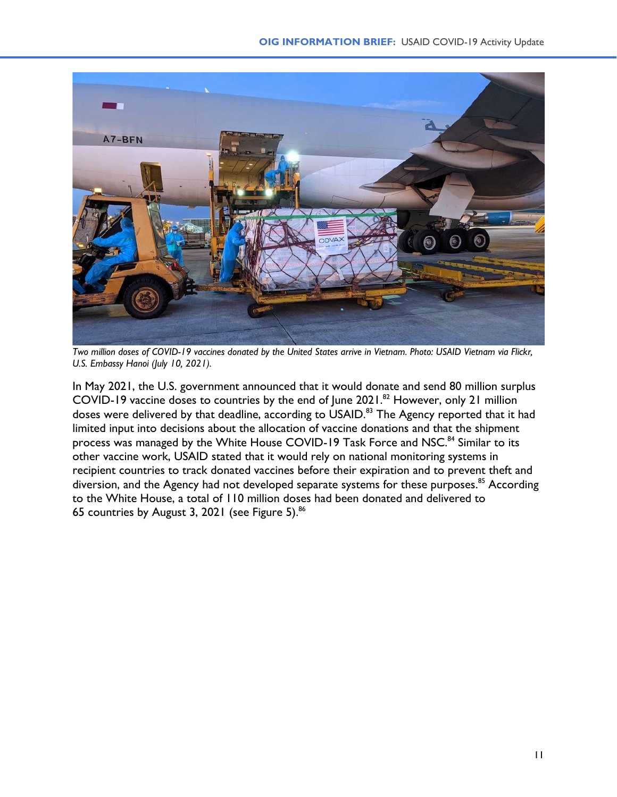

*Two million doses of COVID-19 vaccines donated by the United States arrive in Vietnam. Photo: USAID Vietnam via Flickr, U.S. Embassy Hanoi (July 10, 2021).*

In May 2021, the U.S. government announced that it would donate and send 80 million surplus COVID-19 vaccine doses to countries by the end of June  $2021.^{82}$  $2021.^{82}$  $2021.^{82}$  However, only 21 million doses were delivered by that deadline, according to USAID.<sup>[83](#page-27-0)</sup> The Agency reported that it had limited input into decisions about the allocation of vaccine donations and that the shipment process was managed by the White House COVID-19 Task Force and NSC.<sup>[84](#page-27-0)</sup> Similar to its other vaccine work, USAID stated that it would rely on national monitoring systems in recipient countries to track donated vaccines before their expiration and to prevent theft and diversion, and the Agency had not developed separate systems for these purposes.<sup>[85](#page-27-0)</sup> According to the White House, a total of 110 million doses had been donated and delivered to 65 countries by August 3, 2021 (see Figure 5).<sup>[86](#page-27-0)</sup>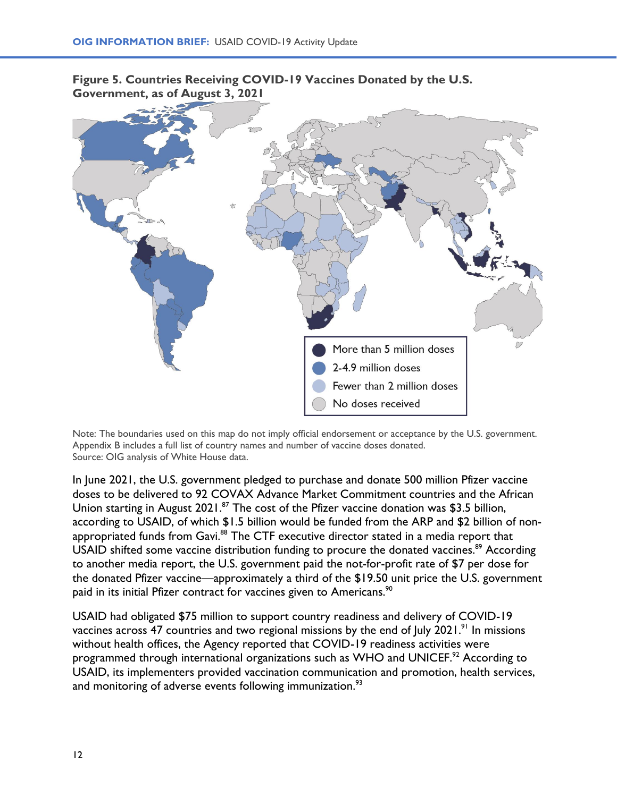

**Figure 5. Countries Receiving COVID-19 Vaccines Donated by the U.S. Government, as of August 3, 2021**

Note: The boundaries used on this map do not imply official endorsement or acceptance by the U.S. government. Appendix B includes a full list of country names and number of vaccine doses donated. Source: OIG analysis of White House data.

In June 2021, the U.S. government pledged to purchase and donate 500 million Pfizer vaccine doses to be delivered to 92 COVAX Advance Market Commitment countries and the African Union starting in August 2021.<sup>[87](#page-27-0)</sup> The cost of the Pfizer vaccine donation was \$3.5 billion, according to USAID, of which \$1.5 billion would be funded from the ARP and \$2 billion of non-appropriated funds from Gavi.<sup>[88](#page-27-0)</sup> The CTF executive director stated in a media report that USAID shifted some vaccine distribution funding to procure the donated vaccines.<sup>[89](#page-27-0)</sup> According to another media report, the U.S. government paid the not-for-profit rate of \$7 per dose for the donated Pfizer vaccine—approximately a third of the \$19.50 unit price the U.S. government paid in its initial Pfizer contract for vaccines given to Americans.<sup>[90](#page-27-0)</sup>

USAID had obligated \$75 million to support country readiness and delivery of COVID-19 vaccines across 47 countries and two regional missions by the end of July 2021.<sup>[91](#page-27-0)</sup> In missions without health offices, the Agency reported that COVID-19 readiness activities were programmed through international organizations such as WHO and UNICEF.<sup>[92](#page-27-0)</sup> According to USAID, its implementers provided vaccination communication and promotion, health services, and monitoring of adverse events following immunization.<sup>[93](#page-27-0)</sup>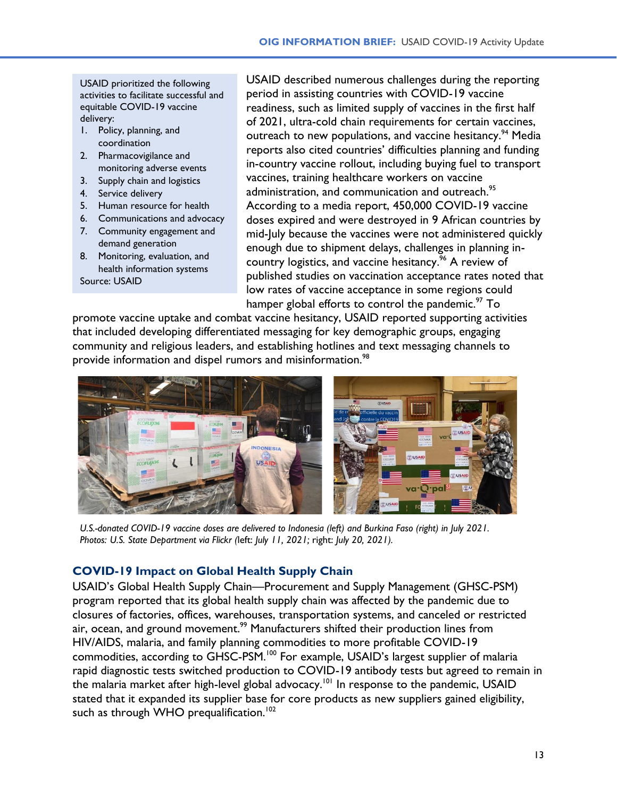USAID prioritized the following activities to facilitate successful and equitable COVID-19 vaccine delivery:

- 1. Policy, planning, and coordination
- 2. Pharmacovigilance and monitoring adverse events
- 3. Supply chain and logistics
- 4. Service delivery
- 5. Human resource for health
- 6. Communications and advocacy
- 7. Community engagement and demand generation
- 8. Monitoring, evaluation, and health information systems Source: USAID

USAID described numerous challenges during the reporting period in assisting countries with COVID-19 vaccine readiness, such as limited supply of vaccines in the first half of 2021, ultra-cold chain requirements for certain vaccines, outreach to new populations, and vaccine hesitancy.<sup>[94](#page-27-0)</sup> Media reports also cited countries' difficulties planning and funding in-country vaccine rollout, including buying fuel to transport vaccines, training healthcare workers on vaccine administration, and communication and outreach.<sup>[95](#page-27-0)</sup> According to a media report, 450,000 COVID-19 vaccine doses expired and were destroyed in 9 African countries by mid-July because the vaccines were not administered quickly enough due to shipment delays, challenges in planning incountry logistics, and vaccine hesitancy. [96](#page-27-0) A review of published studies on vaccination acceptance rates noted that low rates of vaccine acceptance in some regions could hamper global efforts to control the pandemic.<sup>[97](#page-27-0)</sup> To

promote vaccine uptake and combat vaccine hesitancy, USAID reported supporting activities that included developing differentiated messaging for key demographic groups, engaging community and religious leaders, and establishing hotlines and text messaging channels to provide information and dispel rumors and misinformation.<sup>[98](#page-27-0)</sup>



*U.S.-donated COVID-19 vaccine doses are delivered to Indonesia (left) and Burkina Faso (right) in July 2021. Photos: U.S. State Department via Flickr (*left: *July 11, 2021;* right: *July 20, 2021).*

### **COVID-19 Impact on Global Health Supply Chain**

USAID's Global Health Supply Chain—Procurement and Supply Management (GHSC-PSM) program reported that its global health supply chain was affected by the pandemic due to closures of factories, offices, warehouses, transportation systems, and canceled or restricted air, ocean, and ground movement.<sup>[99](#page-27-0)</sup> Manufacturers shifted their production lines from HIV/AIDS, malaria, and family planning commodities to more profitable COVID-19 commodities, according to GHSC-PSM.<sup>[100](#page-27-0)</sup> For example, USAID's largest supplier of malaria rapid diagnostic tests switched production to COVID-19 antibody tests but agreed to remain in the malaria market after high-level global advocacy.[101](#page-27-0) In response to the pandemic, USAID stated that it expanded its supplier base for core products as new suppliers gained eligibility, such as through WHO prequalification.<sup>[102](#page-27-0)</sup>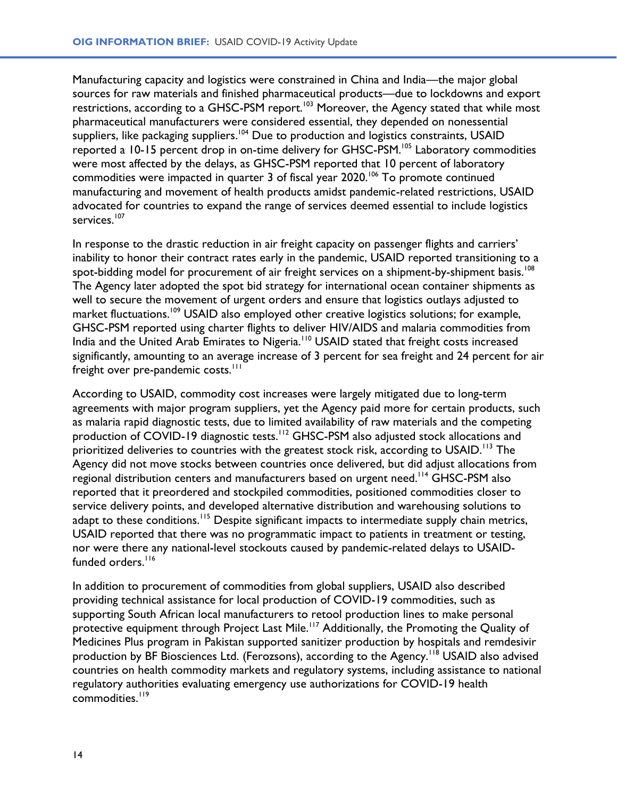Manufacturing capacity and logistics were constrained in China and India—the major global sources for raw materials and finished pharmaceutical products—due to lockdowns and export restrictions, according to a GHSC-PSM report.<sup>[103](#page-27-0)</sup> Moreover, the Agency stated that while most pharmaceutical manufacturers were considered essential, they depended on nonessential suppliers, like packaging suppliers.<sup>[104](#page-27-0)</sup> Due to production and logistics constraints, USAID reported a 10-15 percent drop in on-time delivery for GHSC-PSM. [105](#page-27-0) Laboratory commodities were most affected by the delays, as GHSC-PSM reported that 10 percent of laboratory commodities were impacted in quarter 3 of fiscal year 2020.<sup>[106](#page-27-0)</sup> To promote continued manufacturing and movement of health products amidst pandemic-related restrictions, USAID advocated for countries to expand the range of services deemed essential to include logistics services. [107](#page-27-0)

In response to the drastic reduction in air freight capacity on passenger flights and carriers' inability to honor their contract rates early in the pandemic, USAID reported transitioning to a spot-bidding model for procurement of air freight services on a shipment-by-shipment basis. $^{\rm 108}$  $^{\rm 108}$  $^{\rm 108}$ The Agency later adopted the spot bid strategy for international ocean container shipments as well to secure the movement of urgent orders and ensure that logistics outlays adjusted to market fluctuations.<sup>[109](#page-27-0)</sup> USAID also employed other creative logistics solutions; for example, GHSC-PSM reported using charter flights to deliver HIV/AIDS and malaria commodities from India and the United Arab Emirates to Nigeria.<sup>[110](#page-27-0)</sup> USAID stated that freight costs increased significantly, amounting to an average increase of 3 percent for sea freight and 24 percent for air freight over pre-pandemic costs.<sup>[111](#page-27-0)</sup>

According to USAID, commodity cost increases were largely mitigated due to long-term agreements with major program suppliers, yet the Agency paid more for certain products, such as malaria rapid diagnostic tests, due to limited availability of raw materials and the competing production of COVID-19 diagnostic tests.<sup>[112](#page-27-0)</sup> GHSC-PSM also adjusted stock allocations and prioritized deliveries to countries with the greatest stock risk, according to USAID.<sup>[113](#page-27-0)</sup> The Agency did not move stocks between countries once delivered, but did adjust allocations from regional distribution centers and manufacturers based on urgent need. [114](#page-27-0) GHSC-PSM also reported that it preordered and stockpiled commodities, positioned commodities closer to service delivery points, and developed alternative distribution and warehousing solutions to adapt to these conditions.<sup>[115](#page-27-0)</sup> Despite significant impacts to intermediate supply chain metrics, USAID reported that there was no programmatic impact to patients in treatment or testing, nor were there any national-level stockouts caused by pandemic-related delays to USAID-funded orders.<sup>[116](#page-27-0)</sup>

In addition to procurement of commodities from global suppliers, USAID also described providing technical assistance for local production of COVID-19 commodities, such as supporting South African local manufacturers to retool production lines to make personal protective equipment through Project Last Mile.<sup>[117](#page-28-0)</sup> Additionally, the Promoting the Quality of Medicines Plus program in Pakistan supported sanitizer production by hospitals and remdesivir production by BF Biosciences Ltd. (Ferozsons), according to the Agency.<sup>[118](#page-28-0)</sup> USAID also advised countries on health commodity markets and regulatory systems, including assistance to national regulatory authorities evaluating emergency use authorizations for COVID-19 health commodities.<sup>[119](#page-28-0)</sup>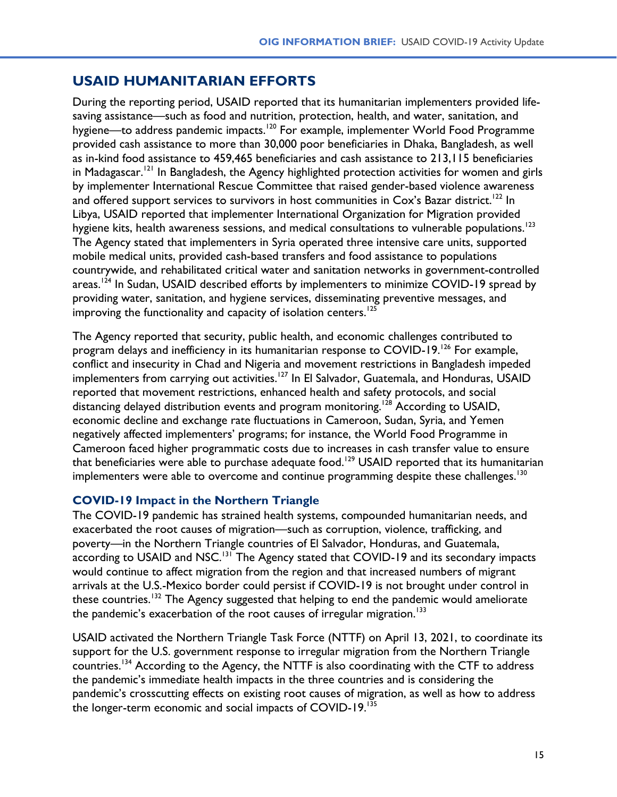### **USAID HUMANITARIAN EFFORTS**

During the reporting period, USAID reported that its humanitarian implementers provided lifesaving assistance—such as food and nutrition, protection, health, and water, sanitation, and hygiene—to address pandemic impacts.<sup>[120](#page-28-0)</sup> For example, implementer World Food Programme provided cash assistance to more than 30,000 poor beneficiaries in Dhaka, Bangladesh, as well as in-kind food assistance to 459,465 beneficiaries and cash assistance to 213,115 beneficiaries in Madagascar.<sup>[121](#page-28-0)</sup> In Bangladesh, the Agency highlighted protection activities for women and girls by implementer International Rescue Committee that raised gender-based violence awareness and offered support services to survivors in host communities in  $\mathsf{Cox}'$ s Bazar district.  $^{122}$  $^{122}$  $^{122}$  In Libya, USAID reported that implementer International Organization for Migration provided hygiene kits, health awareness sessions, and medical consultations to vulnerable populations.<sup>[123](#page-28-0)</sup> The Agency stated that implementers in Syria operated three intensive care units, supported mobile medical units, provided cash-based transfers and food assistance to populations countrywide, and rehabilitated critical water and sanitation networks in government-controlled areas.<sup>[124](#page-28-0)</sup> In Sudan, USAID described efforts by implementers to minimize COVID-19 spread by providing water, sanitation, and hygiene services, disseminating preventive messages, and improving the functionality and capacity of isolation centers.<sup>[125](#page-28-0)</sup>

The Agency reported that security, public health, and economic challenges contributed to program delays and inefficiency in its humanitarian response to COVID-19.<sup>[126](#page-28-0)</sup> For example, conflict and insecurity in Chad and Nigeria and movement restrictions in Bangladesh impeded implementers from carrying out activities.<sup>[127](#page-28-0)</sup> In El Salvador, Guatemala, and Honduras, USAID reported that movement restrictions, enhanced health and safety protocols, and social distancing delayed distribution events and program monitoring.<sup>[128](#page-28-0)</sup> According to USAID, economic decline and exchange rate fluctuations in Cameroon, Sudan, Syria, and Yemen negatively affected implementers' programs; for instance, the World Food Programme in Cameroon faced higher programmatic costs due to increases in cash transfer value to ensure that beneficiaries were able to purchase adequate food.<sup>[129](#page-28-0)</sup> USAID reported that its humanitarian implementers were able to overcome and continue programming despite these challenges.  $^{130}$  $^{130}$  $^{130}$ 

#### **COVID-19 Impact in the Northern Triangle**

The COVID-19 pandemic has strained health systems, compounded humanitarian needs, and exacerbated the root causes of migration—such as corruption, violence, trafficking, and poverty—in the Northern Triangle countries of El Salvador, Honduras, and Guatemala, according to USAID and NSC.<sup>[131](#page-28-0)</sup> The Agency stated that COVID-19 and its secondary impacts would continue to affect migration from the region and that increased numbers of migrant arrivals at the U.S.-Mexico border could persist if COVID-19 is not brought under control in these countries.<sup>[132](#page-28-0)</sup> The Agency suggested that helping to end the pandemic would ameliorate the pandemic's exacerbation of the root causes of irregular migration.<sup>[133](#page-28-0)</sup>

USAID activated the Northern Triangle Task Force (NTTF) on April 13, 2021, to coordinate its support for the U.S. government response to irregular migration from the Northern Triangle countries.<sup>[134](#page-28-0)</sup> According to the Agency, the NTTF is also coordinating with the CTF to address the pandemic's immediate health impacts in the three countries and is considering the pandemic's crosscutting effects on existing root causes of migration, as well as how to address the longer-term economic and social impacts of COVID-19.<sup>[135](#page-28-0)</sup>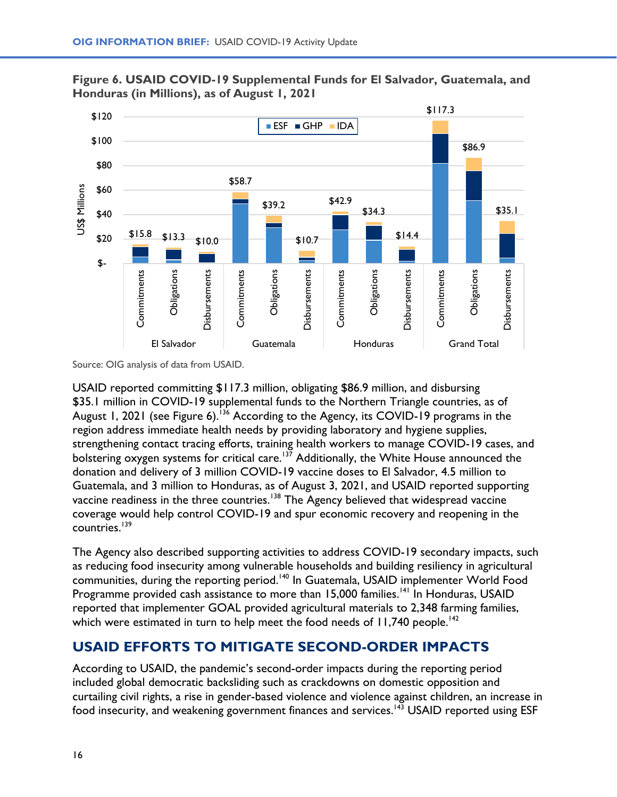



USAID reported committing \$117.3 million, obligating \$86.9 million, and disbursing \$35.1 million in COVID-19 supplemental funds to the Northern Triangle countries, as of August 1, 2021 (see Figure 6).<sup>[136](#page-28-0)</sup> According to the Agency, its COVID-19 programs in the region address immediate health needs by providing laboratory and hygiene supplies, strengthening contact tracing efforts, training health workers to manage COVID-19 cases, and bolstering oxygen systems for critical care.<sup>[137](#page-28-0)</sup> Additionally, the White House announced the donation and delivery of 3 million COVID-19 vaccine doses to El Salvador, 4.5 million to Guatemala, and 3 million to Honduras, as of August 3, 2021, and USAID reported supporting vaccine readiness in the three countries.<sup>[138](#page-28-0)</sup> The Agency believed that widespread vaccine coverage would help control COVID-19 and spur economic recovery and reopening in the countries.<sup>[139](#page-28-0)</sup>

The Agency also described supporting activities to address COVID-19 secondary impacts, such as reducing food insecurity among vulnerable households and building resiliency in agricultural communities, during the reporting period.<sup>[140](#page-28-0)</sup> In Guatemala, USAID implementer World Food Programme provided cash assistance to more than 15,000 families.<sup>[141](#page-28-0)</sup> In Honduras, USAID reported that implementer GOAL provided agricultural materials to 2,348 farming families, which were estimated in turn to help meet the food needs of 11,740 people.<sup>[142](#page-28-0)</sup>

# **USAID EFFORTS TO MITIGATE SECOND-ORDER IMPACTS**

According to USAID, the pandemic's second-order impacts during the reporting period included global democratic backsliding such as crackdowns on domestic opposition and curtailing civil rights, a rise in gender-based violence and violence against children, an increase in food insecurity, and weakening government finances and services.<sup>[143](#page-28-0)</sup> USAID reported using ESF

Source: OIG analysis of data from USAID.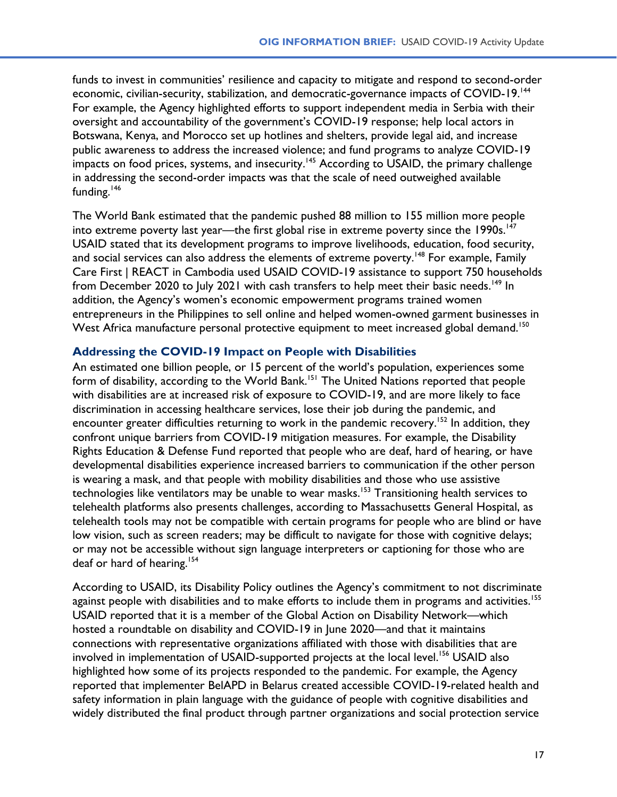funds to invest in communities' resilience and capacity to mitigate and respond to second-order economic, civilian-security, stabilization, and democratic-governance impacts of COVID-19.<sup>[144](#page-28-0)</sup> For example, the Agency highlighted efforts to support independent media in Serbia with their oversight and accountability of the government's COVID-19 response; help local actors in Botswana, Kenya, and Morocco set up hotlines and shelters, provide legal aid, and increase public awareness to address the increased violence; and fund programs to analyze COVID-19 impacts on food prices, systems, and insecurity.<sup>[145](#page-28-0)</sup> According to USAID, the primary challenge in addressing the second-order impacts was that the scale of need outweighed available funding. $146$ 

The World Bank estimated that the pandemic pushed 88 million to 155 million more people into extreme poverty last year—the first global rise in extreme poverty since the  $1990s$ .<sup>[147](#page-28-0)</sup> USAID stated that its development programs to improve livelihoods, education, food security, and social services can also address the elements of extreme poverty.<sup>[148](#page-28-0)</sup> For example, Family Care First | REACT in Cambodia used USAID COVID-19 assistance to support 750 households from December 2020 to July 2021 with cash transfers to help meet their basic needs.<sup>[149](#page-28-0)</sup> In addition, the Agency's women's economic empowerment programs trained women entrepreneurs in the Philippines to sell online and helped women-owned garment businesses in West Africa manufacture personal protective equipment to meet increased global demand.<sup>[150](#page-28-0)</sup>

#### **Addressing the COVID-19 Impact on People with Disabilities**

An estimated one billion people, or 15 percent of the world's population, experiences some form of disability, according to the World Bank.<sup>[151](#page-28-0)</sup> The United Nations reported that people with disabilities are at increased risk of exposure to COVID-19, and are more likely to face discrimination in accessing healthcare services, lose their job during the pandemic, and encounter greater difficulties returning to work in the pandemic recovery.<sup>[152](#page-28-0)</sup> In addition, they confront unique barriers from COVID-19 mitigation measures. For example, the Disability Rights Education & Defense Fund reported that people who are deaf, hard of hearing, or have developmental disabilities experience increased barriers to communication if the other person is wearing a mask, and that people with mobility disabilities and those who use assistive technologies like ventilators may be unable to wear masks.<sup>[153](#page-28-0)</sup> Transitioning health services to telehealth platforms also presents challenges, according to Massachusetts General Hospital, as telehealth tools may not be compatible with certain programs for people who are blind or have low vision, such as screen readers; may be difficult to navigate for those with cognitive delays; or may not be accessible without sign language interpreters or captioning for those who are deaf or hard of hearing.<sup>[154](#page-28-0)</sup>

According to USAID, its Disability Policy outlines the Agency's commitment to not discriminate against people with disabilities and to make efforts to include them in programs and activities.<sup>[155](#page-28-0)</sup> USAID reported that it is a member of the Global Action on Disability Network—which hosted a roundtable on disability and COVID-19 in June 2020—and that it maintains connections with representative organizations affiliated with those with disabilities that are involved in implementation of USAID-supported projects at the local level. [156](#page-28-0) USAID also highlighted how some of its projects responded to the pandemic. For example, the Agency reported that implementer BelAPD in Belarus created accessible COVID-19-related health and safety information in plain language with the guidance of people with cognitive disabilities and widely distributed the final product through partner organizations and social protection service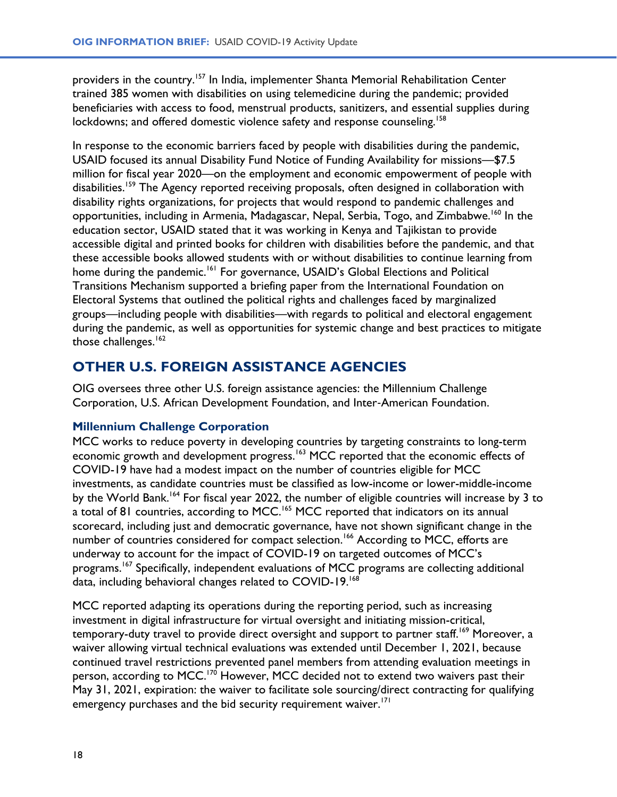providers in the country.<sup>[157](#page-28-0)</sup> In India, implementer Shanta Memorial Rehabilitation Center trained 385 women with disabilities on using telemedicine during the pandemic; provided beneficiaries with access to food, menstrual products, sanitizers, and essential supplies during lockdowns; and offered domestic violence safety and response counseling.<sup>[158](#page-28-0)</sup>

In response to the economic barriers faced by people with disabilities during the pandemic, USAID focused its annual Disability Fund Notice of Funding Availability for missions—\$7.5 million for fiscal year 2020—on the employment and economic empowerment of people with disabilities.<sup>[159](#page-28-0)</sup> The Agency reported receiving proposals, often designed in collaboration with disability rights organizations, for projects that would respond to pandemic challenges and opportunities, including in Armenia, Madagascar, Nepal, Serbia, Togo, and Zimbabwe. [160](#page-28-0) In the education sector, USAID stated that it was working in Kenya and Tajikistan to provide accessible digital and printed books for children with disabilities before the pandemic, and that these accessible books allowed students with or without disabilities to continue learning from home during the pandemic.<sup>[161](#page-28-0)</sup> For governance, USAID's Global Elections and Political Transitions Mechanism supported a briefing paper from the International Foundation on Electoral Systems that outlined the political rights and challenges faced by marginalized groups—including people with disabilities—with regards to political and electoral engagement during the pandemic, as well as opportunities for systemic change and best practices to mitigate those challenges.<sup>[162](#page-29-0)</sup>

# **OTHER U.S. FOREIGN ASSISTANCE AGENCIES**

OIG oversees three other U.S. foreign assistance agencies: the Millennium Challenge Corporation, U.S. African Development Foundation, and Inter‐American Foundation.

#### **Millennium Challenge Corporation**

MCC works to reduce poverty in developing countries by targeting constraints to long-term economic growth and development progress.<sup>[163](#page-29-0)</sup> MCC reported that the economic effects of COVID-19 have had a modest impact on the number of countries eligible for MCC investments, as candidate countries must be classified as low-income or lower-middle-income by the World Bank.<sup>[164](#page-29-0)</sup> For fiscal year 2022, the number of eligible countries will increase by 3 to a total of 81 countries, according to MCC.[165](#page-29-0) MCC reported that indicators on its annual scorecard, including just and democratic governance, have not shown significant change in the number of countries considered for compact selection.<sup>[166](#page-29-0)</sup> According to MCC, efforts are underway to account for the impact of COVID-19 on targeted outcomes of MCC's programs.<sup>[167](#page-29-0)</sup> Specifically, independent evaluations of MCC programs are collecting additional data, including behavioral changes related to COVID-19.<sup>[168](#page-29-0)</sup>

MCC reported adapting its operations during the reporting period, such as increasing investment in digital infrastructure for virtual oversight and initiating mission-critical, temporary-duty travel to provide direct oversight and support to partner staff.<sup>[169](#page-29-0)</sup> Moreover, a waiver allowing virtual technical evaluations was extended until December 1, 2021, because continued travel restrictions prevented panel members from attending evaluation meetings in person, according to MCC.<sup>[170](#page-29-0)</sup> However, MCC decided not to extend two waivers past their May 31, 2021, expiration: the waiver to facilitate sole sourcing/direct contracting for qualifying emergency purchases and the bid security requirement waiver.<sup>[171](#page-29-0)</sup>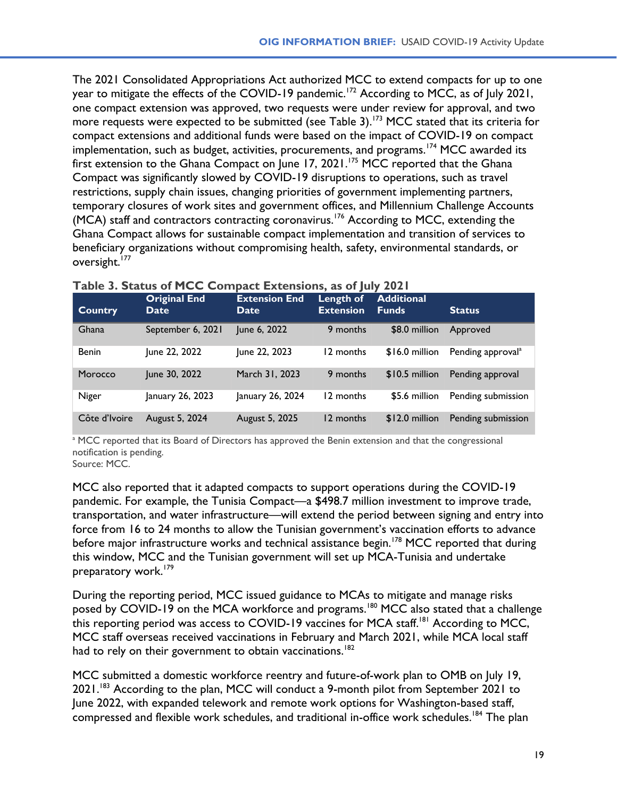The 2021 Consolidated Appropriations Act authorized MCC to extend compacts for up to one year to mitigate the effects of the COVID-19 pandemic.<sup>[172](#page-29-0)</sup> According to MCC, as of July 2021, one compact extension was approved, two requests were under review for approval, and two more requests were expected to be submitted (see Table 3).<sup>[173](#page-29-0)</sup> MCC stated that its criteria for compact extensions and additional funds were based on the impact of COVID-19 on compact implementation, such as budget, activities, procurements, and programs.<sup>[174](#page-29-0)</sup> MCC awarded its first extension to the Ghana Compact on June 17, 2021.<sup>[175](#page-29-0)</sup> MCC reported that the Ghana Compact was significantly slowed by COVID-19 disruptions to operations, such as travel restrictions, supply chain issues, changing priorities of government implementing partners, temporary closures of work sites and government offices, and Millennium Challenge Accounts  $MCA$ ) staff and contractors contracting coronavirus.<sup>[176](#page-29-0)</sup> According to MCC, extending the Ghana Compact allows for sustainable compact implementation and transition of services to beneficiary organizations without compromising health, safety, environmental standards, or oversight.<sup>[177](#page-29-0)</sup>

| <b>Country</b> | <b>Original End</b><br>Date, | <b>Extension End</b><br><b>Date</b> | Length of<br><b>Extension</b> | <b>Additional</b><br><b>Funds</b> | <b>Status</b>                 |
|----------------|------------------------------|-------------------------------------|-------------------------------|-----------------------------------|-------------------------------|
| Ghana          | September 6, 2021            | June 6, 2022                        | 9 months                      | \$8.0 million                     | Approved                      |
| <b>Benin</b>   | June 22, 2022                | June 22, 2023                       | 12 months                     | \$16.0 million                    | Pending approval <sup>a</sup> |
| Morocco        | June 30, 2022                | March 31, 2023                      | 9 months                      | $$10.5$ million                   | Pending approval              |
| Niger          | January 26, 2023             | January 26, 2024                    | 12 months                     | \$5.6 million                     | Pending submission            |
| Côte d'Ivoire  | August 5, 2024               | August 5, 2025                      | 12 months                     | $$12.0$ million                   | Pending submission            |

#### **Table 3. Status of MCC Compact Extensions, as of July 2021**

<sup>a</sup> MCC reported that its Board of Directors has approved the Benin extension and that the congressional notification is pending.

Source: MCC.

MCC also reported that it adapted compacts to support operations during the COVID-19 pandemic. For example, the Tunisia Compact—a \$498.7 million investment to improve trade, transportation, and water infrastructure—will extend the period between signing and entry into force from 16 to 24 months to allow the Tunisian government's vaccination efforts to advance before major infrastructure works and technical assistance begin.<sup>[178](#page-29-0)</sup> MCC reported that during this window, MCC and the Tunisian government will set up MCA-Tunisia and undertake preparatory work.<sup>[179](#page-29-0)</sup>

During the reporting period, MCC issued guidance to MCAs to mitigate and manage risks posed by COVID-19 on the MCA workforce and programs.<sup>[180](#page-29-0)</sup> MCC also stated that a challenge this reporting period was access to COVID-19 vaccines for MCA staff.<sup>[181](#page-29-0)</sup> According to MCC, MCC staff overseas received vaccinations in February and March 2021, while MCA local staff had to rely on their government to obtain vaccinations.<sup>[182](#page-29-0)</sup>

MCC submitted a domestic workforce reentry and future-of-work plan to OMB on July 19, 2021.<sup>[183](#page-29-0)</sup> According to the plan, MCC will conduct a 9-month pilot from September 2021 to June 2022, with expanded telework and remote work options for Washington-based staff, compressed and flexible work schedules, and traditional in-office work schedules.<sup>[184](#page-29-0)</sup> The plan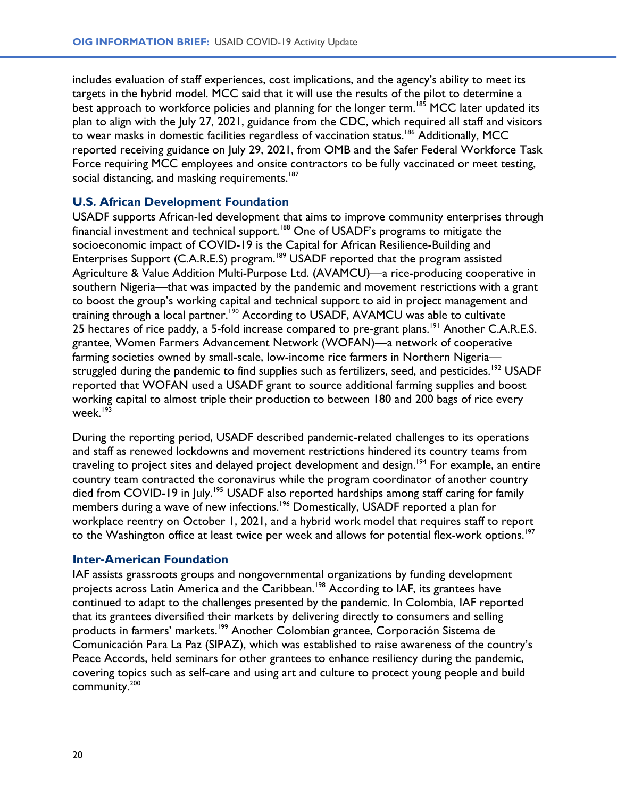includes evaluation of staff experiences, cost implications, and the agency's ability to meet its targets in the hybrid model. MCC said that it will use the results of the pilot to determine a best approach to workforce policies and planning for the longer term.<sup>[185](#page-29-0)</sup> MCC later updated its plan to align with the July 27, 2021, guidance from the CDC, which required all staff and visitors to wear masks in domestic facilities regardless of vaccination status.<sup>[186](#page-29-0)</sup> Additionally, MCC reported receiving guidance on July 29, 2021, from OMB and the Safer Federal Workforce Task Force requiring MCC employees and onsite contractors to be fully vaccinated or meet testing, social distancing, and masking requirements.<sup>[187](#page-29-0)</sup>

#### **U.S. African Development Foundation**

USADF supports African-led development that aims to improve community enterprises through financial investment and technical support.<sup>[188](#page-29-0)</sup> One of USADF's programs to mitigate the socioeconomic impact of COVID-19 is the Capital for African Resilience-Building and Enterprises Support (C.A.R.E.S) program.<sup>[189](#page-29-0)</sup> USADF reported that the program assisted Agriculture & Value Addition Multi-Purpose Ltd. (AVAMCU)—a rice-producing cooperative in southern Nigeria—that was impacted by the pandemic and movement restrictions with a grant to boost the group's working capital and technical support to aid in project management and training through a local partner.<sup>[190](#page-29-0)</sup> According to USADF, AVAMCU was able to cultivate 25 hectares of rice paddy, a 5-fold increase compared to pre-grant plans.<sup>[191](#page-29-0)</sup> Another C.A.R.E.S. grantee, Women Farmers Advancement Network (WOFAN)—a network of cooperative farming societies owned by small-scale, low-income rice farmers in Northern Nigeria— struggled during the pandemic to find supplies such as fertilizers, seed, and pesticides.<sup>[192](#page-29-0)</sup> USADF reported that WOFAN used a USADF grant to source additional farming supplies and boost working capital to almost triple their production to between 180 and 200 bags of rice every week. [193](#page-29-0)

During the reporting period, USADF described pandemic-related challenges to its operations and staff as renewed lockdowns and movement restrictions hindered its country teams from traveling to project sites and delayed project development and design. [194](#page-29-0) For example, an entire country team contracted the coronavirus while the program coordinator of another country died from COVID-19 in July.<sup>[195](#page-29-0)</sup> USADF also reported hardships among staff caring for family members during a wave of new infections.<sup>[196](#page-29-0)</sup> Domestically, USADF reported a plan for workplace reentry on October 1, 2021, and a hybrid work model that requires staff to report to the Washington office at least twice per week and allows for potential flex-work options.<sup>[197](#page-29-0)</sup>

#### **Inter**‐**American Foundation**

IAF assists grassroots groups and nongovernmental organizations by funding development projects across Latin America and the Caribbean.<sup>[198](#page-29-0)</sup> According to IAF, its grantees have continued to adapt to the challenges presented by the pandemic. In Colombia, IAF reported that its grantees diversified their markets by delivering directly to consumers and selling products in farmers' markets.<sup>[199](#page-29-0)</sup> Another Colombian grantee, Corporación Sistema de Comunicación Para La Paz (SIPAZ), which was established to raise awareness of the country's Peace Accords, held seminars for other grantees to enhance resiliency during the pandemic, covering topics such as self-care and using art and culture to protect young people and build community.[200](#page-29-0)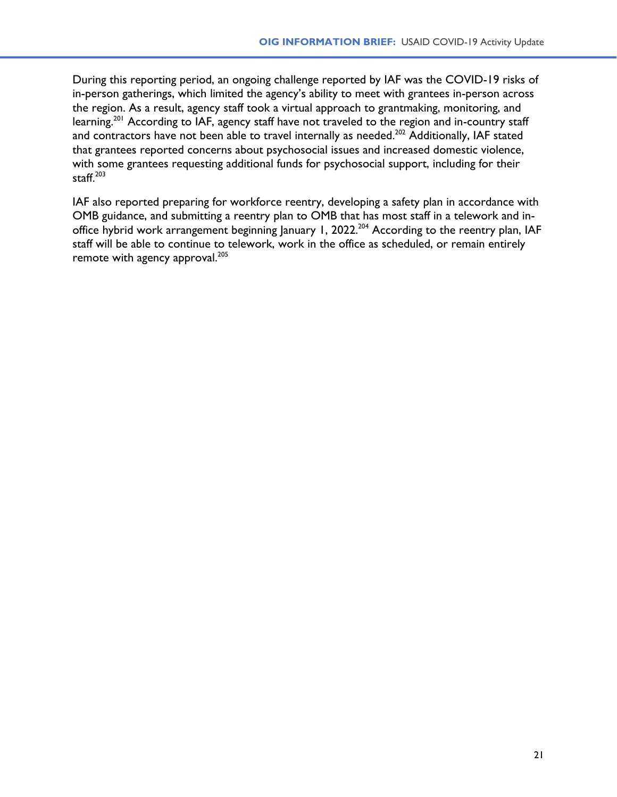During this reporting period, an ongoing challenge reported by IAF was the COVID-19 risks of in-person gatherings, which limited the agency's ability to meet with grantees in-person across the region. As a result, agency staff took a virtual approach to grantmaking, monitoring, and learning.<sup>[201](#page-29-0)</sup> According to IAF, agency staff have not traveled to the region and in-country staff and contractors have not been able to travel internally as needed.<sup>[202](#page-29-0)</sup> Additionally, IAF stated that grantees reported concerns about psychosocial issues and increased domestic violence, with some grantees requesting additional funds for psychosocial support, including for their staff. [203](#page-29-0)

IAF also reported preparing for workforce reentry, developing a safety plan in accordance with OMB guidance, and submitting a reentry plan to OMB that has most staff in a telework and in-office hybrid work arrangement beginning January 1, 2022.<sup>[204](#page-29-0)</sup> According to the reentry plan, IAF staff will be able to continue to telework, work in the office as scheduled, or remain entirely remote with agency approval.<sup>[205](#page-29-0)</sup>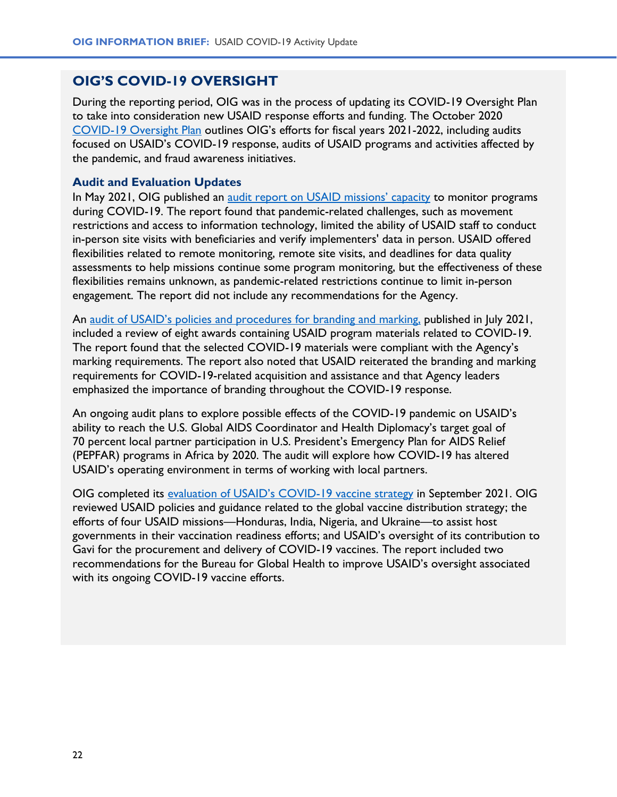### **OIG'S COVID-19 OVERSIGHT**

During the reporting period, OIG was in the process of updating its COVID-19 Oversight Plan to take into consideration new USAID response efforts and funding. The October 2020 [COVID-19 Oversight Plan](https://oig.usaid.gov/node/4360) outlines OIG's efforts for fiscal years 2021-2022, including audits focused on USAID's COVID-19 response, audits of USAID programs and activities affected by the pandemic, and fraud awareness initiatives.

#### **Audit and Evaluation Updates**

In May 2021, OIG published an [audit report on USAID missions' capacity](https://oig.usaid.gov/node/4768) to monitor programs during COVID-19. The report found that pandemic-related challenges, such as movement restrictions and access to information technology, limited the ability of USAID staff to conduct in-person site visits with beneficiaries and verify implementers' data in person. USAID offered flexibilities related to remote monitoring, remote site visits, and deadlines for data quality assessments to help missions continue some program monitoring, but the effectiveness of these flexibilities remains unknown, as pandemic-related restrictions continue to limit in-person engagement. The report did not include any recommendations for the Agency.

An [audit of USAID's policies and procedures for branding and ma](https://oig.usaid.gov/node/4857)rking, published in July 2021, included a review of eight awards containing USAID program materials related to COVID-19. The report found that the selected COVID-19 materials were compliant with the Agency's marking requirements. The report also noted that USAID reiterated the branding and marking requirements for COVID-19-related acquisition and assistance and that Agency leaders emphasized the importance of branding throughout the COVID-19 response.

An ongoing audit plans to explore possible effects of the COVID-19 pandemic on USAID's ability to reach the U.S. Global AIDS Coordinator and Health Diplomacy's target goal of 70 percent local partner participation in U.S. President's Emergency Plan for AIDS Relief (PEPFAR) programs in Africa by 2020. The audit will explore how COVID-19 has altered USAID's operating environment in terms of working with local partners.

OIG completed its [evaluation of USAID's COVID](https://oig.usaid.gov/node/4922)-19 vaccine strategy in September 2021. OIG reviewed USAID policies and guidance related to the global vaccine distribution strategy; the efforts of four USAID missions—Honduras, India, Nigeria, and Ukraine—to assist host governments in their vaccination readiness efforts; and USAID's oversight of its contribution to Gavi for the procurement and delivery of COVID-19 vaccines. The report included two recommendations for the Bureau for Global Health to improve USAID's oversight associated with its ongoing COVID-19 vaccine efforts.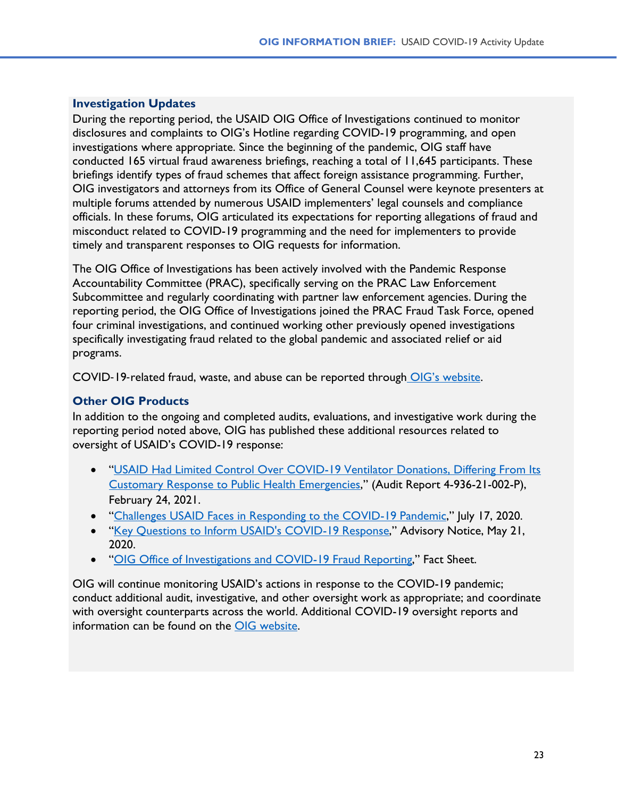#### **Investigation Updates**

During the reporting period, the USAID OIG Office of Investigations continued to monitor disclosures and complaints to OIG's Hotline regarding COVID-19 programming, and open investigations where appropriate. Since the beginning of the pandemic, OIG staff have conducted 165 virtual fraud awareness briefings, reaching a total of 11,645 participants. These briefings identify types of fraud schemes that affect foreign assistance programming. Further, OIG investigators and attorneys from its Office of General Counsel were keynote presenters at multiple forums attended by numerous USAID implementers' legal counsels and compliance officials. In these forums, OIG articulated its expectations for reporting allegations of fraud and misconduct related to COVID-19 programming and the need for implementers to provide timely and transparent responses to OIG requests for information.

The OIG Office of Investigations has been actively involved with the Pandemic Response Accountability Committee (PRAC), specifically serving on the PRAC Law Enforcement Subcommittee and regularly coordinating with partner law enforcement agencies. During the reporting period, the OIG Office of Investigations joined the PRAC Fraud Task Force, opened four criminal investigations, and continued working other previously opened investigations specifically investigating fraud related to the global pandemic and associated relief or aid programs.

COVID‐19‐related fraud, waste, and abuse can be reported through [OIG's website](https://oig.usaid.gov/report-fraud).

### **Other OIG Products**

In addition to the ongoing and completed audits, evaluations, and investigative work during the reporting period noted above, OIG has published these additional resources related to oversight of USAID's COVID-19 response:

- "[USAID Had Limited Control Over COVID-19 Ventilator Donations, Differing From Its](https://oig.usaid.gov/node/4610)  [Customary Response to Public Health Emergencies](https://oig.usaid.gov/node/4610)," (Audit Report 4-936-21-002-P), February 24, 2021.
- "[Challenges USAID Faces in Responding to the COVID-19 Pandemic](https://oig.usaid.gov/node/4085)," July 17, 2020.
- "[Key Questions to Inform USAID's COVID-19 Response](https://oig.usaid.gov/node/4023)," Advisory Notice, May 21, 2020.
- "[OIG Office of Investigations and COVID-19 Fraud Reporting](https://oig.usaid.gov/node/4098)," Fact Sheet.

OIG will continue monitoring USAID's actions in response to the COVID-19 pandemic; conduct additional audit, investigative, and other oversight work as appropriate; and coordinate with oversight counterparts across the world. Additional COVID-19 oversight reports and information can be found on the OIG [website.](https://oig.usaid.gov/coronavirus)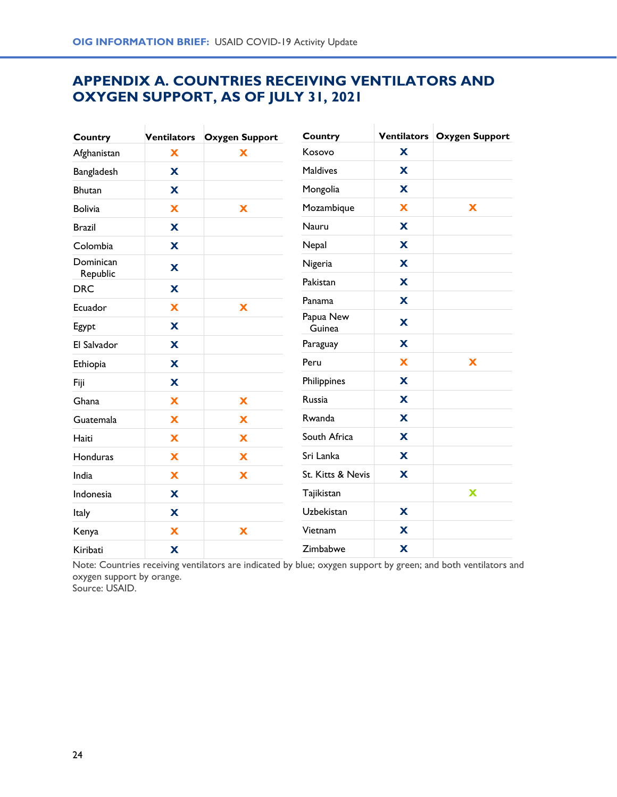# **APPENDIX A. COUNTRIES RECEIVING VENTILATORS AND OXYGEN SUPPORT, AS OF JULY 31, 2021**

| <b>Country</b>        | Ventilators | <b>Oxygen Support</b> | Country             |   | Ventilators   Oxygen Support |
|-----------------------|-------------|-----------------------|---------------------|---|------------------------------|
| Afghanistan           | X           | X                     | Kosovo              | X |                              |
| Bangladesh            | X           |                       | <b>Maldives</b>     | X |                              |
| <b>Bhutan</b>         | X           |                       | Mongolia            | X |                              |
| <b>Bolivia</b>        | X           | X                     | Mozambique          | x | X                            |
| <b>Brazil</b>         | X           |                       | <b>Nauru</b>        | X |                              |
| Colombia              | X           |                       | Nepal               | X |                              |
| Dominican<br>Republic | X           |                       | Nigeria             | X |                              |
| <b>DRC</b>            | X           |                       | Pakistan            | X |                              |
| Ecuador               | X           | X                     | Panama              | X |                              |
| Egypt                 | X           |                       | Papua New<br>Guinea | X |                              |
| El Salvador           | X           |                       | Paraguay            | X |                              |
| Ethiopia              | X           |                       | Peru                | X | X                            |
| Fiji                  | X           |                       | Philippines         | X |                              |
| Ghana                 | X           | X                     | Russia              | X |                              |
| Guatemala             | X           | X                     | Rwanda              | X |                              |
| Haiti                 | X           | X                     | South Africa        | X |                              |
| Honduras              | X           | $\mathbf x$           | Sri Lanka           | X |                              |
| India                 | X           | X                     | St. Kitts & Nevis   | X |                              |
| Indonesia             | X           |                       | Tajikistan          |   | X                            |
| Italy                 | $\mathbf x$ |                       | Uzbekistan          | X |                              |
| Kenya                 | X           | X                     | Vietnam             | X |                              |
| Kiribati              | X           |                       | Zimbabwe            | X |                              |

Note: Countries receiving ventilators are indicated by blue; oxygen support by green; and both ventilators and oxygen support by orange.

Source: USAID.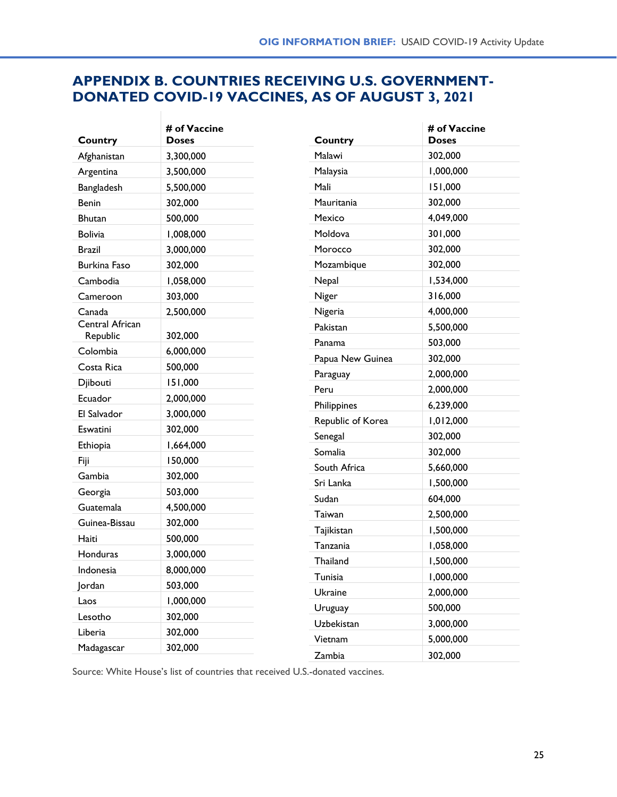# **APPENDIX B. COUNTRIES RECEIVING U.S. GOVERNMENT-DONATED COVID-19 VACCINES, AS OF AUGUST 3, 2021**

| Country             | # of Vaccine<br><b>Doses</b> | Country           | # of Vaccine<br><b>Doses</b> |
|---------------------|------------------------------|-------------------|------------------------------|
| Afghanistan         | 3,300,000                    | Malawi            | 302,000                      |
| Argentina           | 3,500,000                    | Malaysia          | 1,000,000                    |
| Bangladesh          | 5,500,000                    | Mali              | 151,000                      |
| <b>Benin</b>        | 302,000                      | Mauritania        | 302,000                      |
| <b>Bhutan</b>       | 500,000                      | Mexico            | 4,049,000                    |
| <b>Bolivia</b>      | 1,008,000                    | Moldova           | 301,000                      |
| <b>Brazil</b>       | 3,000,000                    | Morocco           | 302,000                      |
| <b>Burkina Faso</b> | 302,000                      | Mozambique        | 302,000                      |
| Cambodia            | 1,058,000                    | Nepal             | 1,534,000                    |
| Cameroon            | 303,000                      | Niger             | 316,000                      |
| Canada              | 2,500,000                    | Nigeria           | 4,000,000                    |
| Central African     |                              | Pakistan          | 5,500,000                    |
| Republic            | 302,000                      | Panama            | 503,000                      |
| Colombia            | 6,000,000                    | Papua New Guinea  | 302,000                      |
| Costa Rica          | 500,000                      | Paraguay          | 2,000,000                    |
| Djibouti            | 151,000                      | Peru              | 2,000,000                    |
| Ecuador             | 2,000,000                    | Philippines       | 6,239,000                    |
| El Salvador         | 3,000,000                    | Republic of Korea | 1,012,000                    |
| Eswatini            | 302,000                      | Senegal           | 302,000                      |
| Ethiopia            | 1,664,000                    | Somalia           | 302,000                      |
| Fiji                | 150,000                      | South Africa      | 5,660,000                    |
| Gambia              | 302,000                      | Sri Lanka         | 1,500,000                    |
| Georgia             | 503,000                      | Sudan             | 604,000                      |
| Guatemala           | 4,500,000                    | Taiwan            | 2,500,000                    |
| Guinea-Bissau       | 302,000                      | Tajikistan        | 1,500,000                    |
| Haiti               | 500,000                      | Tanzania          | 1,058,000                    |
| Honduras            | 3,000,000                    | Thailand          | 1,500,000                    |
| Indonesia           | 8,000,000                    | Tunisia           | 1,000,000                    |
| Jordan              | 503,000                      | Ukraine           | 2,000,000                    |
| Laos                | 1,000,000                    | Uruguay           | 500,000                      |
| Lesotho             | 302,000                      | Uzbekistan        | 3,000,000                    |
| Liberia             | 302,000                      | Vietnam           | 5,000,000                    |
| Madagascar          | 302,000                      | Zambia            | 302,000                      |

Source: White House's list of countries that received U.S.-donated vaccines.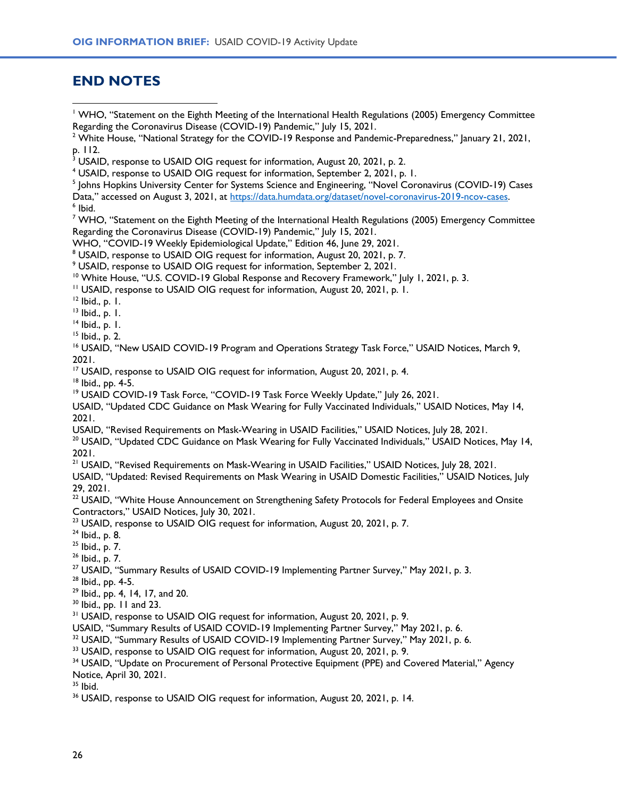# <span id="page-25-0"></span>**END NOTES**

<sup>1</sup> WHO, "Statement on the Eighth Meeting of the International Health Regulations (2005) Emergency Committee Regarding the Coronavirus Disease (COVID-19) Pandemic," July 15, 2021.

Data," accessed on August 3, 2021, at [https://data.humdata.org/dataset/novel-coronavirus-2019-ncov-cases.](https://data.humdata.org/dataset/novel-coronavirus-2019-ncov-cases)

6 Ibid.

<sup>7</sup> WHO, "Statement on the Eighth Meeting of the International Health Regulations (2005) Emergency Committee Regarding the Coronavirus Disease (COVID-19) Pandemic," |uly 15, 2021.

WHO, "COVID-19 Weekly Epidemiological Update," Edition 46, June 29, 2021.

<sup>8</sup> USAID, response to USAID OIG request for information, August 20, 2021, p. 7.

<sup>9</sup> USAID, response to USAID OIG request for information, September 2, 2021.

<sup>10</sup> White House, "U.S. COVID-19 Global Response and Recovery Framework," July 1, 2021, p. 3.

<sup>11</sup> USAID, response to USAID OIG request for information, August 20, 2021, p. 1.

 $12$  lbid., p. 1.

<sup>13</sup> Ibid., p. 1.

 $14$  Ibid., p. 1.

<sup>15</sup> Ibid., p. 2.

<sup>16</sup> USAID, "New USAID COVID-19 Program and Operations Strategy Task Force," USAID Notices, March 9, 2021.

<sup>17</sup> USAID, response to USAID OIG request for information, August 20, 2021, p. 4.

<sup>18</sup> Ibid., pp. 4-5.

<sup>19</sup> USAID COVID-19 Task Force, "COVID-19 Task Force Weekly Update," July 26, 2021.

USAID, "Updated CDC Guidance on Mask Wearing for Fully Vaccinated Individuals," USAID Notices, May 14, 2021.

USAID, "Revised Requirements on Mask-Wearing in USAID Facilities," USAID Notices, July 28, 2021.

<sup>20</sup> USAID, "Updated CDC Guidance on Mask Wearing for Fully Vaccinated Individuals," USAID Notices, May 14, 2021.

<sup>21</sup> USAID, "Revised Requirements on Mask-Wearing in USAID Facilities," USAID Notices, July 28, 2021.

USAID, "Updated: Revised Requirements on Mask Wearing in USAID Domestic Facilities," USAID Notices, July 29, 2021.

<sup>22</sup> USAID, "White House Announcement on Strengthening Safety Protocols for Federal Employees and Onsite Contractors," USAID Notices, July 30, 2021.

<sup>23</sup> USAID, response to USAID OIG request for information, August 20, 2021, p. 7.

<sup>24</sup> Ibid., p. 8.

 $25$  Ibid., p. 7.

<sup>26</sup> Ibid., p. 7.

<sup>27</sup> USAID, "Summary Results of USAID COVID-19 Implementing Partner Survey," May 2021, p. 3.

<sup>28</sup> Ibid., pp. 4-5.

<sup>29</sup> Ibid., pp. 4, 14, 17, and 20.

 $30$  Ibid., pp. 11 and 23.

<sup>31</sup> USAID, response to USAID OIG request for information, August 20, 2021, p. 9.

USAID, "Summary Results of USAID COVID-19 Implementing Partner Survey," May 2021, p. 6.

<sup>32</sup> USAID, "Summary Results of USAID COVID-19 Implementing Partner Survey," May 2021, p. 6.

<sup>33</sup> USAID, response to USAID OIG request for information, August 20, 2021, p. 9.

<sup>34</sup> USAID, "Update on Procurement of Personal Protective Equipment (PPE) and Covered Material," Agency Notice, April 30, 2021.

 $35$  Ibid.

<sup>36</sup> USAID, response to USAID OIG request for information, August 20, 2021, p. 14.

<sup>&</sup>lt;sup>2</sup> White House, "National Strategy for the COVID-19 Response and Pandemic-Preparedness," January 21, 2021, p. 112.

<sup>&</sup>lt;sup>3</sup> USAID, response to USAID OIG request for information, August 20, 2021, p. 2.

<sup>4</sup> USAID, response to USAID OIG request for information, September 2, 2021, p. 1.

<sup>&</sup>lt;sup>5</sup> Johns Hopkins University Center for Systems Science and Engineering, "Novel Coronavirus (COVID-19) Cases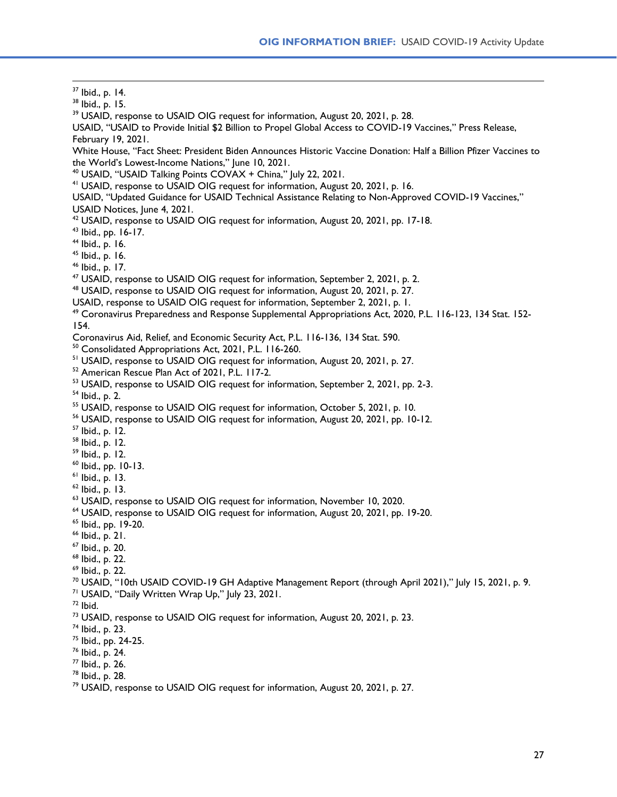<span id="page-26-0"></span> Ibid., p. 14. Ibid., p. 15. <sup>39</sup> USAID, response to USAID OIG request for information, August 20, 2021, p. 28. USAID, "USAID to Provide Initial \$2 Billion to Propel Global Access to COVID-19 Vaccines," Press Release, February 19, 2021. White House, "Fact Sheet: President Biden Announces Historic Vaccine Donation: Half a Billion Pfizer Vaccines to the World's Lowest-Income Nations," June 10, 2021. USAID, "USAID Talking Points COVAX + China," July 22, 2021. USAID, response to USAID OIG request for information, August 20, 2021, p. 16. USAID, "Updated Guidance for USAID Technical Assistance Relating to Non-Approved COVID-19 Vaccines," USAID Notices, June 4, 2021. <sup>42</sup> USAID, response to USAID OIG request for information, August 20, 2021, pp. 17-18. Ibid., pp. 16-17. Ibid., p. 16. Ibid., p. 16. Ibid., p. 17. USAID, response to USAID OIG request for information, September 2, 2021, p. 2. USAID, response to USAID OIG request for information, August 20, 2021, p. 27. USAID, response to USAID OIG request for information, September 2, 2021, p. 1. Coronavirus Preparedness and Response Supplemental Appropriations Act, 2020, P.L. 116-123, 134 Stat. 152- 154. Coronavirus Aid, Relief, and Economic Security Act, P.L. 116-136, 134 Stat. 590. Consolidated Appropriations Act, 2021, P.L. 116-260. <sup>51</sup> USAID, response to USAID OIG request for information, August 20, 2021, p. 27. American Rescue Plan Act of 2021, P.L. 117-2. <sup>53</sup> USAID, response to USAID OIG request for information, September 2, 2021, pp. 2-3. Ibid., p. 2. <sup>55</sup> USAID, response to USAID OIG request for information, October 5, 2021, p. 10. <sup>56</sup> USAID, response to USAID OIG request for information, August 20, 2021, pp. 10-12. Ibid., p. 12. Ibid., p. 12. Ibid., p. 12. Ibid., pp. 10-13.  $<sup>61</sup>$  Ibid., p. 13.</sup> Ibid., p. 13. <sup>63</sup> USAID, response to USAID OIG request for information, November 10, 2020. USAID, response to USAID OIG request for information, August 20, 2021, pp. 19-20. Ibid., pp. 19-20. Ibid., p. 21. Ibid., p. 20. Ibid., p. 22. Ibid., p. 22. USAID, "10th USAID COVID-19 GH Adaptive Management Report (through April 2021)," July 15, 2021, p. 9. <sup>71</sup> USAID, "Daily Written Wrap Up," July 23, 2021. Ibid. <sup>73</sup> USAID, response to USAID OIG request for information, August 20, 2021, p. 23. Ibid., p. 23. Ibid., pp. 24-25. Ibid., p. 24. Ibid., p. 26. Ibid., p. 28. USAID, response to USAID OIG request for information, August 20, 2021, p. 27.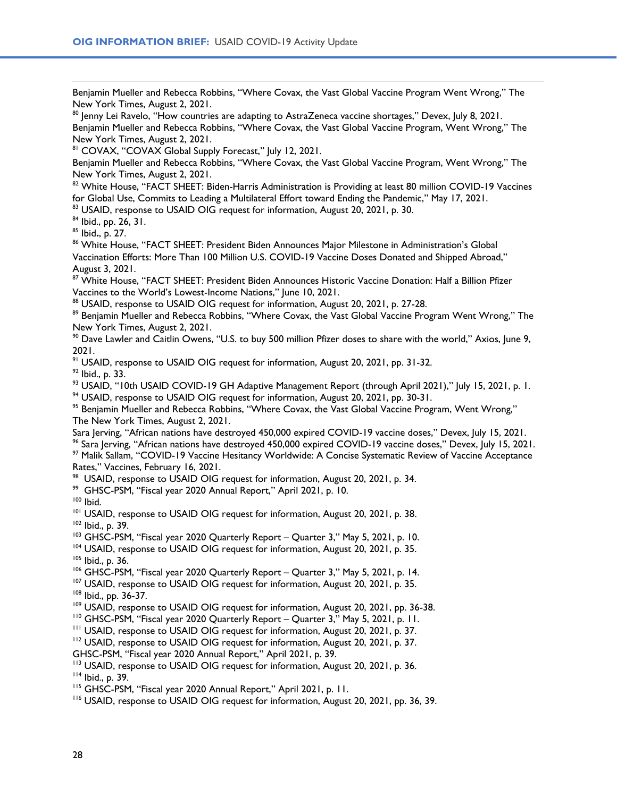<span id="page-27-0"></span>Benjamin Mueller and Rebecca Robbins, "Where Covax, the Vast Global Vaccine Program Went Wrong," The New York Times, August 2, 2021.

 $80$  Jenny Lei Ravelo, "How countries are adapting to AstraZeneca vaccine shortages," Devex, July 8, 2021. Benjamin Mueller and Rebecca Robbins, "Where Covax, the Vast Global Vaccine Program, Went Wrong," The New York Times, August 2, 2021.

81 COVAX, "COVAX Global Supply Forecast," July 12, 2021.

Benjamin Mueller and Rebecca Robbins, "Where Covax, the Vast Global Vaccine Program, Went Wrong," The New York Times, August 2, 2021.

82 White House, "FACT SHEET: Biden-Harris Administration is Providing at least 80 million COVID-19 Vaccines for Global Use, Commits to Leading a Multilateral Effort toward Ending the Pandemic," May 17, 2021.

83 USAID, response to USAID OIG request for information, August 20, 2021, p. 30.

<sup>84</sup> Ibid., pp. 26, 31.

<sup>85</sup> Ibid**.**, p. 27.

<sup>86</sup> White House, "FACT SHEET: President Biden Announces Major Milestone in Administration's Global Vaccination Efforts: More Than 100 Million U.S. COVID-19 Vaccine Doses Donated and Shipped Abroad," August 3, 2021.

<sup>87</sup> White House, "FACT SHEET: President Biden Announces Historic Vaccine Donation: Half a Billion Pfizer Vaccines to the World's Lowest-Income Nations," June 10, 2021.

88 USAID, response to USAID OIG request for information, August 20, 2021, p. 27-28.

89 Benjamin Mueller and Rebecca Robbins, "Where Covax, the Vast Global Vaccine Program Went Wrong," The New York Times, August 2, 2021.

<sup>90</sup> Dave Lawler and Caitlin Owens, "U.S. to buy 500 million Pfizer doses to share with the world," Axios, June 9, 2021.

<sup>91</sup> USAID, response to USAID OIG request for information, August 20, 2021, pp. 31-32.

<sup>92</sup> Ibid., p. 33.

<sup>93</sup> USAID, "10th USAID COVID-19 GH Adaptive Management Report (through April 2021)," July 15, 2021, p. 1.

<sup>94</sup> USAID, response to USAID OIG request for information, August 20, 2021, pp. 30-31.

<sup>95</sup> Benjamin Mueller and Rebecca Robbins, "Where Covax, the Vast Global Vaccine Program, Went Wrong," The New York Times, August 2, 2021.

Sara Jerving, "African nations have destroyed 450,000 expired COVID-19 vaccine doses," Devex, July 15, 2021. % Sara Ierving, "African nations have destroyed 450,000 expired COVID-19 vaccine doses," Devex, July 15, 2021.

<sup>97</sup> Malik Sallam, "COVID-19 Vaccine Hesitancy Worldwide: A Concise Systematic Review of Vaccine Acceptance Rates," Vaccines, February 16, 2021.

<sup>98</sup> USAID, response to USAID OIG request for information, August 20, 2021, p. 34.

99 GHSC-PSM, "Fiscal year 2020 Annual Report," April 2021, p. 10.

<sup>100</sup> Ibid.

<sup>101</sup> USAID, response to USAID OIG request for information, August 20, 2021, p. 38.

<sup>102</sup> Ibid., p. 39.

103 GHSC-PSM, "Fiscal year 2020 Quarterly Report – Quarter 3," May 5, 2021, p. 10.

<sup>104</sup> USAID, response to USAID OIG request for information, August 20, 2021, p. 35. <sup>105</sup> Ibid., p. 36.

<sup>106</sup> GHSC-PSM, "Fiscal year 2020 Quarterly Report – Quarter 3," May 5, 2021, p. 14.

<sup>107</sup> USAID, response to USAID OIG request for information, August 20, 2021, p. 35.

<sup>108</sup> Ibid., pp. 36-37.

<sup>109</sup> USAID, response to USAID OIG request for information, August 20, 2021, pp. 36-38.

<sup>110</sup> GHSC-PSM, "Fiscal year 2020 Quarterly Report – Quarter 3," May 5, 2021, p. 11.

<sup>111</sup> USAID, response to USAID OIG request for information, August 20, 2021, p. 37.

<sup>112</sup> USAID, response to USAID OIG request for information, August 20, 2021, p. 37.

GHSC-PSM, "Fiscal year 2020 Annual Report," April 2021, p. 39.

<sup>113</sup> USAID, response to USAID OIG request for information, August 20, 2021, p. 36.

<sup>114</sup> Ibid., p. 39.

<sup>115</sup> GHSC-PSM, "Fiscal year 2020 Annual Report," April 2021, p. 11.

<sup>116</sup> USAID, response to USAID OIG request for information, August 20, 2021, pp. 36, 39.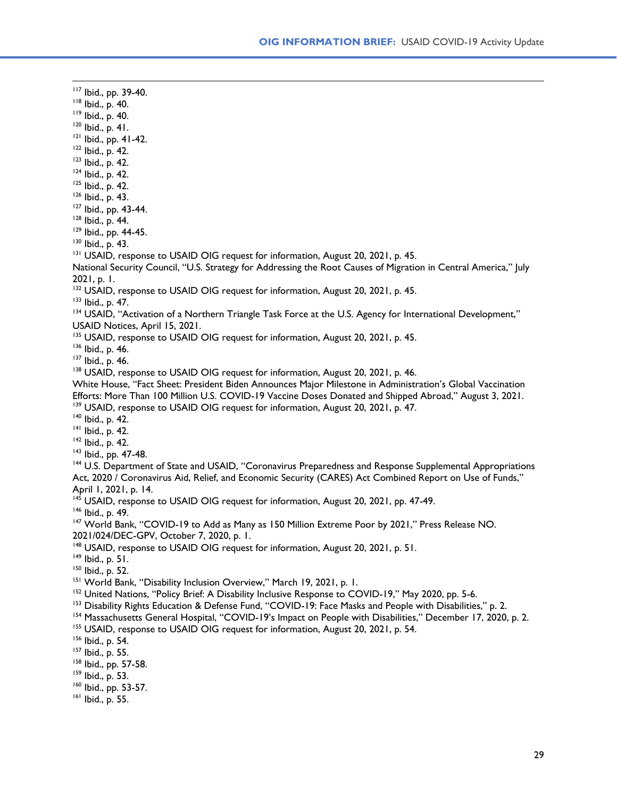<span id="page-28-0"></span><sup>117</sup> Ibid., pp. 39-40. <sup>118</sup> Ibid., p. 40. <sup>119</sup> Ibid., p. 40.  $120$  Ibid., p. 41. <sup>121</sup> Ibid., pp. 41-42. <sup>122</sup> Ibid., p. 42. <sup>123</sup> Ibid., p. 42. <sup>124</sup> Ibid., p. 42.  $125$  Ibid., p. 42. <sup>126</sup> Ibid., p. 43. <sup>127</sup> Ibid., pp. 43-44. <sup>128</sup> Ibid., p. 44. <sup>129</sup> Ibid., pp. 44-45. <sup>130</sup> Ibid., p. 43. <sup>131</sup> USAID, response to USAID OIG request for information, August 20, 2021, p. 45. National Security Council, "U.S. Strategy for Addressing the Root Causes of Migration in Central America," July 2021, p. 1. <sup>132</sup> USAID, response to USAID OIG request for information, August 20, 2021, p. 45. <sup>133</sup> Ibid., p. 47. <sup>134</sup> USAID, "Activation of a Northern Triangle Task Force at the U.S. Agency for International Development," USAID Notices, April 15, 2021. 135 USAID, response to USAID OIG request for information, August 20, 2021, p. 45. <sup>136</sup> Ibid., p. 46. <sup>137</sup> Ibid., p. 46. <sup>138</sup> USAID, response to USAID OIG request for information, August 20, 2021, p. 46. White House, "Fact Sheet: President Biden Announces Major Milestone in Administration's Global Vaccination Efforts: More Than 100 Million U.S. COVID-19 Vaccine Doses Donated and Shipped Abroad," August 3, 2021. <sup>139</sup> USAID, response to USAID OIG request for information, August 20, 2021, p. 47. <sup>140</sup> Ibid., p. 42. <sup>141</sup> Ibid., p. 42. <sup>142</sup> Ibid., p. 42. <sup>143</sup> Ibid., pp. 47-48. <sup>144</sup> U.S. Department of State and USAID, "Coronavirus Preparedness and Response Supplemental Appropriations Act, 2020 / Coronavirus Aid, Relief, and Economic Security (CARES) Act Combined Report on Use of Funds," April 1, 2021, p. 14. <sup>145</sup> USAID, response to USAID OIG request for information, August 20, 2021, pp. 47-49. <sup>146</sup> Ibid., p. 49. <sup>147</sup> World Bank, "COVID-19 to Add as Many as 150 Million Extreme Poor by 2021," Press Release NO. 2021/024/DEC-GPV, October 7, 2020, p. 1. <sup>148</sup> USAID, response to USAID OIG request for information, August 20, 2021, p. 51.  $149$  Ibid., p. 51. <sup>150</sup> Ibid., p. 52. <sup>151</sup> World Bank, "Disability Inclusion Overview," March 19, 2021, p. 1. <sup>152</sup> United Nations, "Policy Brief: A Disability Inclusive Response to COVID-19," May 2020, pp. 5-6. <sup>153</sup> Disability Rights Education & Defense Fund, "COVID-19: Face Masks and People with Disabilities," p. 2. <sup>154</sup> Massachusetts General Hospital, "COVID-19's Impact on People with Disabilities," December 17, 2020, p. 2. <sup>155</sup> USAID, response to USAID OIG request for information, August 20, 2021, p. 54. <sup>156</sup> Ibid., p. 54. <sup>157</sup> Ibid., p. 55. <sup>158</sup> Ibid., pp. 57-58. <sup>159</sup> Ibid., p. 53. <sup>160</sup> Ibid., pp. 53-57.

<sup>161</sup> Ibid., p. 55.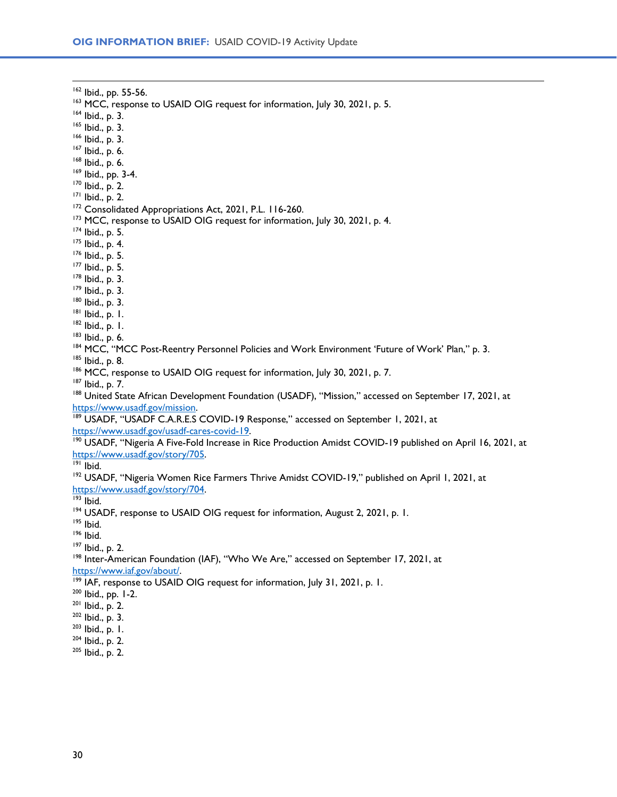<span id="page-29-0"></span> Ibid., pp. 55-56. <sup>163</sup> MCC, response to USAID OIG request for information, July 30, 2021, p. 5. Ibid., p. 3. Ibid., p. 3. Ibid., p. 3. Ibid., p. 6. Ibid., p. 6. Ibid., pp. 3-4. Ibid., p. 2. Ibid., p. 2. <sup>172</sup> Consolidated Appropriations Act, 2021, P.L. 116-260. <sup>173</sup> MCC, response to USAID OIG request for information, July 30, 2021, p. 4. Ibid., p. 5. <sup>175</sup> Ibid., p. 4. Ibid., p. 5. Ibid., p. 5. Ibid., p. 3. Ibid., p. 3. Ibid., p. 3. Ibid., p. 1. Ibid., p. 1. Ibid., p. 6. 184 MCC, "MCC Post-Reentry Personnel Policies and Work Environment 'Future of Work' Plan," p. 3. Ibid., p. 8. 186 MCC, response to USAID OIG request for information, July 30, 2021, p. 7. Ibid., p. 7. <sup>188</sup> United State African Development Foundation (USADF), "Mission," accessed on September 17, 2021, at [https://www.usadf.gov/mission.](https://www.usadf.gov/mission)  189 USADF, "USADF C.A.R.E.S COVID-19 Response," accessed on September 1, 2021, at [https://www.usadf.gov/usadf-cares-covid-19.](https://www.usadf.gov/usadf-cares-covid-19) <sup>190</sup> USADF, "Nigeria A Five-Fold Increase in Rice Production Amidst COVID-19 published on April 16, 2021, at [https://www.usadf.gov/story/705.](https://www.usadf.gov/story/705) Ibid. <sup>192</sup> USADF, "Nigeria Women Rice Farmers Thrive Amidst COVID-19," published on April 1, 2021, at [https://www.usadf.gov/story/704.](https://www.usadf.gov/story/704) Ibid. 194 USADF, response to USAID OIG request for information, August 2, 2021, p. 1. Ibid. Ibid. <sup>197</sup> Ibid., p. 2. <sup>198</sup> Inter-American Foundation (IAF), "Who We Are," accessed on September 17, 2021, at [https://www.iaf.gov/about/.](https://www.iaf.gov/about/) <sup>199</sup> IAF, response to USAID OIG request for information, July 31, 2021, p. 1. Ibid., pp. 1-2. Ibid., p. 2. Ibid., p. 3. Ibid., p. 1. Ibid., p. 2. Ibid., p. 2.